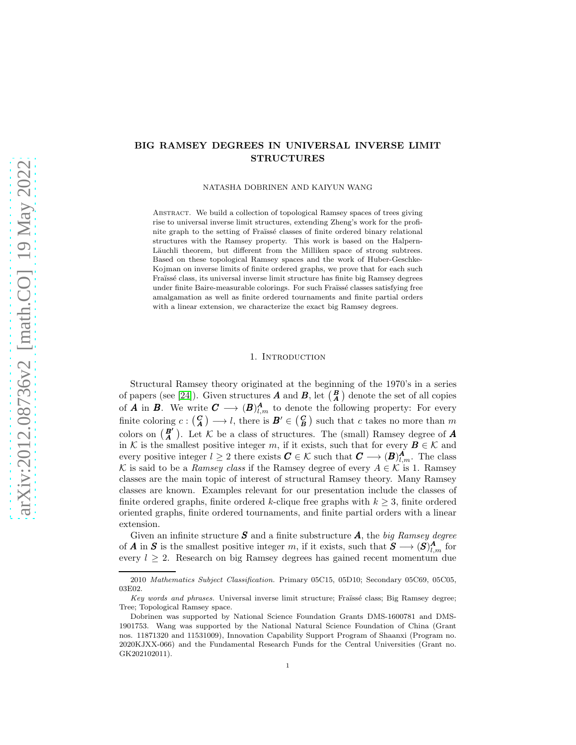# BIG RAMSEY DEGREES IN UNIVERSAL INVERSE LIMIT STRUCTURES

NATASHA DOBRINEN AND KAIYUN WANG

ABSTRACT. We build a collection of topological Ramsey spaces of trees giving rise to universal inverse limit structures, extending Zheng's work for the profinite graph to the setting of Fraïssé classes of finite ordered binary relational structures with the Ramsey property. This work is based on the Halpern-Läuchli theorem, but different from the Milliken space of strong subtrees. Based on these topological Ramsey spaces and the work of Huber-Geschke-Kojman on inverse limits of finite ordered graphs, we prove that for each such Fraïssé class, its universal inverse limit structure has finite big Ramsey degrees under finite Baire-measurable colorings. For such Fraïssé classes satisfying free amalgamation as well as finite ordered tournaments and finite partial orders with a linear extension, we characterize the exact big Ramsey degrees.

#### 1. INTRODUCTION

Structural Ramsey theory originated at the beginning of the 1970's in a series of papers (see [\[24\]](#page-26-0)). Given structures **A** and **B**, let  $\begin{pmatrix} B \\ A \end{pmatrix}$  denote the set of all copies of **A** in **B**. We write  $C \longrightarrow (B)_{l,m}^A$  to denote the following property: For every finite coloring  $c: \begin{pmatrix} \mathcal{C} \\ \mathcal{A} \end{pmatrix} \longrightarrow l$ , there is  $\mathcal{B}' \in \begin{pmatrix} \mathcal{C} \\ \mathcal{B} \end{pmatrix}$  such that c takes no more than m colors on  $\begin{pmatrix} B' \ A \end{pmatrix}$ . Let K be a class of structures. The (small) Ramsey degree of **A** in K is the smallest positive integer m, if it exists, such that for every  $\mathbf{B} \in \mathcal{K}$  and every positive integer  $l \geq 2$  there exists  $C \in \mathcal{K}$  such that  $C \longrightarrow (B)_{l,m}^A$ . The class K is said to be a *Ramsey class* if the Ramsey degree of every  $A \in \mathcal{K}$  is 1. Ramsey classes are the main topic of interest of structural Ramsey theory. Many Ramsey classes are known. Examples relevant for our presentation include the classes of finite ordered graphs, finite ordered k-clique free graphs with  $k \geq 3$ , finite ordered oriented graphs, finite ordered tournaments, and finite partial orders with a linear extension.

Given an infinite structure S and a finite substructure A, the *big Ramsey degree* of A in S is the smallest positive integer m, if it exists, such that  $S \longrightarrow (S)_{l,m}^A$  for every  $l \geq 2$ . Research on big Ramsey degrees has gained recent momentum due

<sup>2010</sup> *Mathematics Subject Classification.* Primary 05C15, 05D10; Secondary 05C69, 05C05, 03E02.

*Key words and phrases.* Universal inverse limit structure; Fraïssé class; Big Ramsey degree; Tree; Topological Ramsey space.

Dobrinen was supported by National Science Foundation Grants DMS-1600781 and DMS-1901753. Wang was supported by the National Natural Science Foundation of China (Grant nos. 11871320 and 11531009), Innovation Capability Support Program of Shaanxi (Program no. 2020KJXX-066) and the Fundamental Research Funds for the Central Universities (Grant no. GK202102011).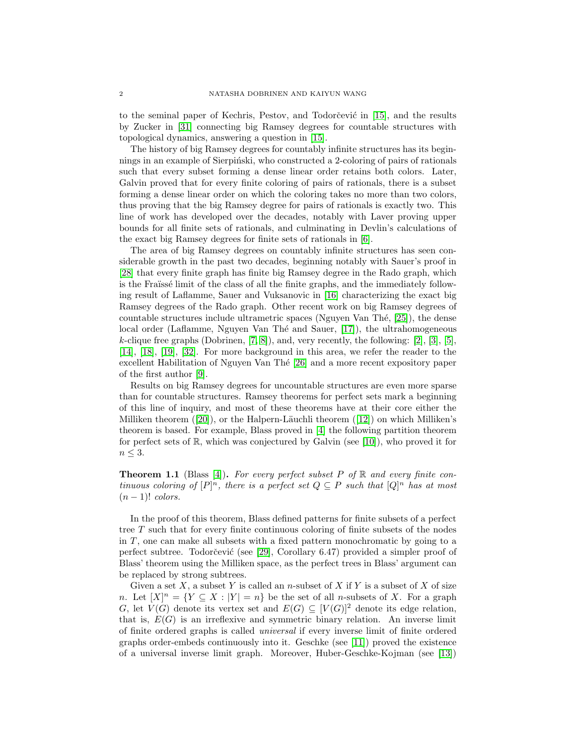to the seminal paper of Kechris, Pestov, and Todorčević in [\[15\]](#page-26-1), and the results by Zucker in [\[31\]](#page-26-2) connecting big Ramsey degrees for countable structures with topological dynamics, answering a question in [\[15\]](#page-26-1).

The history of big Ramsey degrees for countably infinite structures has its beginnings in an example of Sierpinski, who constructed a 2-coloring of pairs of rationals such that every subset forming a dense linear order retains both colors. Later, Galvin proved that for every finite coloring of pairs of rationals, there is a subset forming a dense linear order on which the coloring takes no more than two colors, thus proving that the big Ramsey degree for pairs of rationals is exactly two. This line of work has developed over the decades, notably with Laver proving upper bounds for all finite sets of rationals, and culminating in Devlin's calculations of the exact big Ramsey degrees for finite sets of rationals in [\[6\]](#page-25-0).

The area of big Ramsey degrees on countably infinite structures has seen considerable growth in the past two decades, beginning notably with Sauer's proof in [\[28\]](#page-26-3) that every finite graph has finite big Ramsey degree in the Rado graph, which is the Fraïssé limit of the class of all the finite graphs, and the immediately following result of Laflamme, Sauer and Vuksanovic in [\[16\]](#page-26-4) characterizing the exact big Ramsey degrees of the Rado graph. Other recent work on big Ramsey degrees of countable structures include ultrametric spaces (Nguyen Van Thé,  $[25]$ ), the dense local order (Laflamme, Nguyen Van Thé and Sauer, [\[17\]](#page-26-6)), the ultrahomogeneous  $k$ -clique free graphs (Dobrinen, [\[7,](#page-26-7) [8\]](#page-26-8)), and, very recently, the following: [\[2\]](#page-25-1), [\[3\]](#page-25-2), [\[5\]](#page-25-3), [\[14\]](#page-26-9), [\[18\]](#page-26-10), [\[19\]](#page-26-11), [\[32\]](#page-26-12). For more background in this area, we refer the reader to the excellent Habilitation of Nguyen Van Thé [\[26\]](#page-26-13) and a more recent expository paper of the first author [\[9\]](#page-26-14).

Results on big Ramsey degrees for uncountable structures are even more sparse than for countable structures. Ramsey theorems for perfect sets mark a beginning of this line of inquiry, and most of these theorems have at their core either the Milliken theorem  $([20])$  $([20])$  $([20])$ , or the Halpern-Läuchli theorem  $([12])$  $([12])$  $([12])$  on which Milliken's theorem is based. For example, Blass proved in [\[4\]](#page-25-4) the following partition theorem for perfect sets of  $\mathbb{R}$ , which was conjectured by Galvin (see [\[10\]](#page-26-17)), who proved it for  $n \leq 3$ .

<span id="page-1-0"></span>Theorem 1.1 (Blass [\[4\]](#page-25-4)). *For every perfect subset* P *of* R *and every finite continuous coloring of*  $[P]^n$ *, there is a perfect set*  $Q \subseteq P$  *such that*  $[Q]^n$  *has at most*  $(n-1)!$  *colors.* 

In the proof of this theorem, Blass defined patterns for finite subsets of a perfect tree T such that for every finite continuous coloring of finite subsets of the nodes in  $T$ , one can make all subsets with a fixed pattern monochromatic by going to a perfect subtree. Todorčević (see [\[29\]](#page-26-18), Corollary 6.47) provided a simpler proof of Blass' theorem using the Milliken space, as the perfect trees in Blass' argument can be replaced by strong subtrees.

Given a set X, a subset Y is called an n-subset of X if Y is a subset of X of size n. Let  $[X]^n = \{ Y \subseteq X : |Y| = n \}$  be the set of all n-subsets of X. For a graph G, let  $V(G)$  denote its vertex set and  $E(G) \subseteq [V(G)]^2$  denote its edge relation, that is,  $E(G)$  is an irreflexive and symmetric binary relation. An inverse limit of finite ordered graphs is called *universal* if every inverse limit of finite ordered graphs order-embeds continuously into it. Geschke (see  $|11|$ ) proved the existence of a universal inverse limit graph. Moreover, Huber-Geschke-Kojman (see [\[13\]](#page-26-20))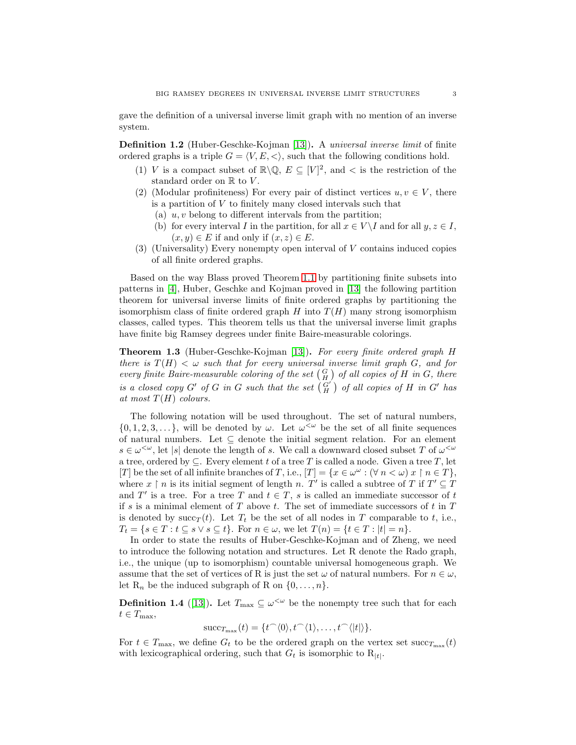gave the definition of a universal inverse limit graph with no mention of an inverse system.

Definition 1.2 (Huber-Geschke-Kojman [\[13\]](#page-26-20)). A *universal inverse limit* of finite ordered graphs is a triple  $G = \langle V, E, \langle \rangle$ , such that the following conditions hold.

- (1) V is a compact subset of  $\mathbb{R}\backslash\mathbb{Q}$ ,  $E \subseteq [V]^2$ , and  $\lt$  is the restriction of the standard order on  $\mathbb R$  to  $V$ .
- (2) (Modular profiniteness) For every pair of distinct vertices  $u, v \in V$ , there is a partition of V to finitely many closed intervals such that
	- (a)  $u, v$  belong to different intervals from the partition;
	- (b) for every interval I in the partition, for all  $x \in V \backslash I$  and for all  $y, z \in I$ ,  $(x, y) \in E$  if and only if  $(x, z) \in E$ .
- (3) (Universality) Every nonempty open interval of V contains induced copies of all finite ordered graphs.

Based on the way Blass proved Theorem [1.1](#page-1-0) by partitioning finite subsets into patterns in [\[4\]](#page-25-4), Huber, Geschke and Kojman proved in [\[13\]](#page-26-20) the following partition theorem for universal inverse limits of finite ordered graphs by partitioning the isomorphism class of finite ordered graph  $H$  into  $T(H)$  many strong isomorphism classes, called types. This theorem tells us that the universal inverse limit graphs have finite big Ramsey degrees under finite Baire-measurable colorings.

<span id="page-2-0"></span>Theorem 1.3 (Huber-Geschke-Kojman [\[13\]](#page-26-20)). *For every finite ordered graph* H *there is*  $T(H) < \omega$  *such that for every universal inverse limit graph*  $G$ *, and for every finite Baire-measurable coloring of the set*  $\left(\frac{G}{H}\right)$  *of all copies of*  $H$  *in*  $G$ *, there is a closed copy*  $G'$  *of*  $G$  *in*  $G$  *such that the set*  $\begin{pmatrix} G' \\ H \end{pmatrix}$  *of all copies of*  $H$  *in*  $G'$  *has*  $at most T(H)$  *colours.* 

The following notation will be used throughout. The set of natural numbers,  $\{0, 1, 2, 3, \ldots\}$ , will be denoted by  $\omega$ . Let  $\omega^{\langle \omega \rangle}$  be the set of all finite sequences of natural numbers. Let  $\subseteq$  denote the initial segment relation. For an element  $s \in \omega^{\leq \omega}$ , let |s| denote the length of s. We call a downward closed subset T of  $\omega^{\leq \omega}$ a tree, ordered by  $\subseteq$ . Every element t of a tree T is called a node. Given a tree T, let [T] be the set of all infinite branches of T, i.e.,  $[T] = \{x \in \omega^\omega : (\forall n \lt \omega) \ x \restriction n \in T\},\$ where  $x \restriction n$  is its initial segment of length n. T' is called a subtree of T if  $T' \subseteq T$ and  $T'$  is a tree. For a tree T and  $t \in T$ , s is called an immediate successor of t if s is a minimal element of  $T$  above  $t$ . The set of immediate successors of  $t$  in  $T$ is denoted by succ $_T(t)$ . Let  $T_t$  be the set of all nodes in T comparable to t, i.e.,  $T_t = \{s \in T : t \subseteq s \vee s \subseteq t\}.$  For  $n \in \omega$ , we let  $T(n) = \{t \in T : |t| = n\}.$ 

In order to state the results of Huber-Geschke-Kojman and of Zheng, we need to introduce the following notation and structures. Let R denote the Rado graph, i.e., the unique (up to isomorphism) countable universal homogeneous graph. We assume that the set of vertices of R is just the set  $\omega$  of natural numbers. For  $n \in \omega$ , let  $R_n$  be the induced subgraph of R on  $\{0, \ldots, n\}$ .

**Definition 1.4** ([\[13\]](#page-26-20)). Let  $T_{\text{max}} \subseteq \omega^{\leq \omega}$  be the nonempty tree such that for each  $t \in T_{\max},$ 

$$
\mathrm{succ}_{T_{\max}}(t) = \{t^\frown \langle 0 \rangle, t^\frown \langle 1 \rangle, \ldots, t^\frown \langle |t| \rangle\}.
$$

For  $t \in T_{\text{max}}$ , we define  $G_t$  to be the ordered graph on the vertex set  $\text{succ}_{T_{\text{max}}} (t)$ with lexicographical ordering, such that  $G_t$  is isomorphic to  $R_{|t|}$ .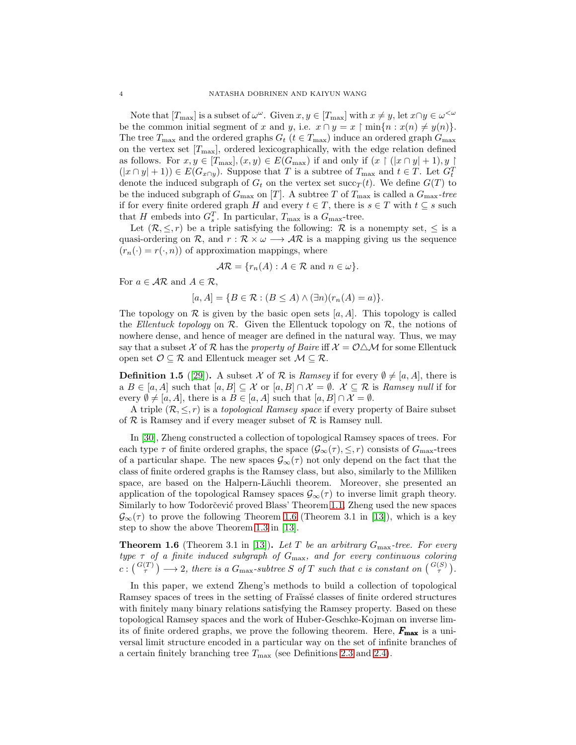Note that  $[T_{\text{max}}]$  is a subset of  $\omega^{\omega}$ . Given  $x, y \in [T_{\text{max}}]$  with  $x \neq y$ , let  $x \cap y \in \omega^{\langle \omega \rangle}$ be the common initial segment of x and y, i.e.  $x \cap y = x \restriction \min\{n : x(n) \neq y(n)\}.$ The tree  $T_{\text{max}}$  and the ordered graphs  $G_t$  ( $t \in T_{\text{max}}$ ) induce an ordered graph  $G_{\text{max}}$ on the vertex set  $[T_{\text{max}}]$ , ordered lexicographically, with the edge relation defined as follows. For  $x, y \in [T_{\text{max}}], (x, y) \in E(G_{\text{max}})$  if and only if  $(x \restriction (|x \cap y| + 1), y \restriction (|x \cap y| + 1)$  $(|x \cap y| + 1) \in E(G_{x \cap y})$ . Suppose that T is a subtree of  $T_{\text{max}}$  and  $t \in T$ . Let  $G_t^T$ denote the induced subgraph of  $G_t$  on the vertex set succ<sub>T</sub> $(t)$ . We define  $G(T)$  to be the induced subgraph of  $G_{\text{max}}$  on [T]. A subtree T of  $T_{\text{max}}$  is called a  $G_{\text{max}}$ -tree if for every finite ordered graph H and every  $t \in T$ , there is  $s \in T$  with  $t \subseteq s$  such that H embeds into  $G_s^T$ . In particular,  $T_{\text{max}}$  is a  $G_{\text{max}}$ -tree.

Let  $(\mathcal{R}, \leq, r)$  be a triple satisfying the following:  $\mathcal{R}$  is a nonempty set,  $\leq$  is a quasi-ordering on R, and  $r : \mathcal{R} \times \omega \longrightarrow \mathcal{AR}$  is a mapping giving us the sequence  $(r_n(\cdot) = r(\cdot, n))$  of approximation mappings, where

$$
\mathcal{AR} = \{r_n(A) : A \in \mathcal{R} \text{ and } n \in \omega\}.
$$

For  $a \in \mathcal{AR}$  and  $A \in \mathcal{R}$ ,

$$
[a, A] = \{ B \in \mathcal{R} : (B \le A) \land (\exists n)(r_n(A) = a) \}.
$$

The topology on  $\mathcal R$  is given by the basic open sets [a, A]. This topology is called the *Ellentuck topology* on  $\mathcal{R}$ . Given the Ellentuck topology on  $\mathcal{R}$ , the notions of nowhere dense, and hence of meager are defined in the natural way. Thus, we may say that a subset X of R has the *property of Baire* iff  $X = \mathcal{O}\triangle\mathcal{M}$  for some Ellentuck open set  $\mathcal{O} \subseteq \mathcal{R}$  and Ellentuck meager set  $\mathcal{M} \subseteq \mathcal{R}$ .

**Definition 1.5** ([\[29\]](#page-26-18)). A subset X of R is *Ramsey* if for every  $\emptyset \neq [a, A]$ , there is a  $B \in [a, A]$  such that  $[a, B] \subseteq \mathcal{X}$  or  $[a, B] \cap \mathcal{X} = \emptyset$ .  $\mathcal{X} \subseteq \mathcal{R}$  is *Ramsey null* if for every  $\emptyset \neq [a, A]$ , there is a  $B \in [a, A]$  such that  $[a, B] \cap \mathcal{X} = \emptyset$ .

A triple  $(\mathcal{R}, \leq, r)$  is a *topological Ramsey space* if every property of Baire subset of  $R$  is Ramsey and if every meager subset of  $R$  is Ramsey null.

In [\[30\]](#page-26-21), Zheng constructed a collection of topological Ramsey spaces of trees. For each type  $\tau$  of finite ordered graphs, the space  $(\mathcal{G}_{\infty}(\tau), \leq, r)$  consists of  $G_{\max}$ -trees of a particular shape. The new spaces  $\mathcal{G}_{\infty}(\tau)$  not only depend on the fact that the class of finite ordered graphs is the Ramsey class, but also, similarly to the Milliken space, are based on the Halpern-Läuchli theorem. Moreover, she presented an application of the topological Ramsey spaces  $\mathcal{G}_{\infty}(\tau)$  to inverse limit graph theory. Similarly to how Todorčević proved Blass' Theorem [1.1,](#page-1-0) Zheng used the new spaces  $\mathcal{G}_{\infty}(\tau)$  to prove the following Theorem [1.6](#page-3-0) (Theorem 3.1 in [\[13\]](#page-26-20)), which is a key step to show the above Theorem [1.3](#page-2-0) in [\[13\]](#page-26-20).

<span id="page-3-0"></span>Theorem 1.6 (Theorem 3.1 in [\[13\]](#page-26-20)). *Let* T *be an arbitrary* Gmax*-tree. For every type* τ *of a finite induced subgraph of* Gmax*, and for every continuous coloring*  $c: \binom{G(T)}{\tau} \longrightarrow 2$ , there is a  $G_{\text{max}}$ -subtree S of T such that c is constant on  $\binom{G(S)}{\tau}$ .

In this paper, we extend Zheng's methods to build a collection of topological Ramsey spaces of trees in the setting of Fraïssé classes of finite ordered structures with finitely many binary relations satisfying the Ramsey property. Based on these topological Ramsey spaces and the work of Huber-Geschke-Kojman on inverse limits of finite ordered graphs, we prove the following theorem. Here,  $F_{\text{max}}$  is a universal limit structure encoded in a particular way on the set of infinite branches of a certain finitely branching tree  $T_{\text{max}}$  (see Definitions [2.3](#page-6-0) and [2.4\)](#page-6-1).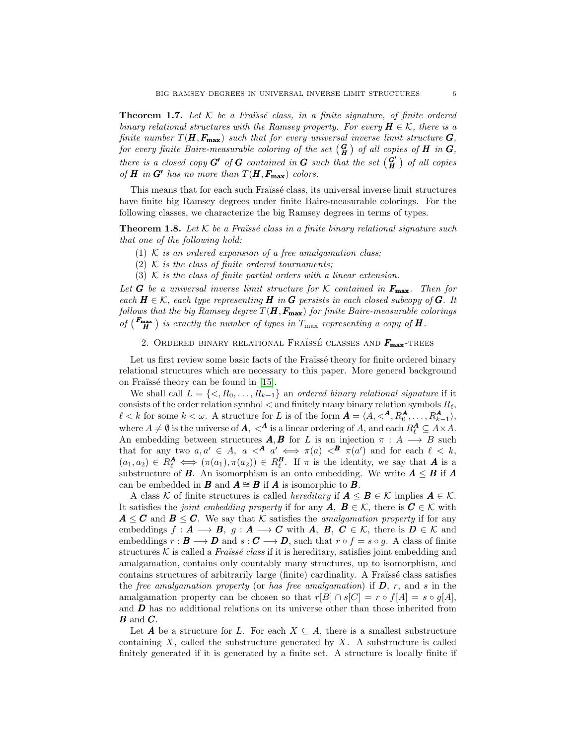Theorem 1.7. Let  $K$  be a Fraïssé class, in a finite signature, of finite ordered *binary relational structures with the Ramsey property. For every*  $H \in \mathcal{K}$ *, there is a finite number*  $T(H, F_{\text{max}})$  *such that for every universal inverse limit structure*  $G$ *, for every finite Baire-measurable coloring of the set*  $(\frac{G}{H})$  *of all copies of*  $H$  *in*  $G$ *, there is a closed copy*  $G'$  *of*  $G$  *contained in*  $G$  *such that the set*  $\begin{pmatrix} G' \\ H \end{pmatrix}$ H *of all copies of* **H** in  $G'$  has no more than  $T(H, F_{\text{max}})$  colors.

This means that for each such Fraïssé class, its universal inverse limit structures have finite big Ramsey degrees under finite Baire-measurable colorings. For the following classes, we characterize the big Ramsey degrees in terms of types.

**Theorem 1.8.** Let  $K$  be a Fraüssé class in a finite binary relational signature such *that one of the following hold:*

(1) K *is an ordered expansion of a free amalgamation class;*

(2) K *is the class of finite ordered tournaments;*

(3) K *is the class of finite partial orders with a linear extension.*

Let **G** be a universal inverse limit structure for  $K$  contained in  $F_{\text{max}}$ . Then for *each*  $H \in \mathcal{K}$ *, each type representing*  $H$  *in*  $G$  *persists in each closed subcopy of*  $G$ *. It follows that the big Ramsey degree*  $T(H, F_{\text{max}})$  *for finite Baire-measurable colorings of*  $\left(\frac{F_{\text{max}}}{H}\right)$  is exactly the number of types in  $T_{\text{max}}$  representing a copy of **H**.

2. ORDERED BINARY RELATIONAL FRAÏSSÉ CLASSES AND  $F_{\text{max}}$ -TREES

Let us first review some basic facts of the Fraïssé theory for finite ordered binary relational structures which are necessary to this paper. More general background on Fraïssé theory can be found in [\[15\]](#page-26-1).

We shall call  $L = \{ \langle R_0, \ldots, R_{k-1} \}$  an *ordered binary relational signature* if it consists of the order relation symbol  $<$  and finitely many binary relation symbols  $R_\ell$ ,  $\ell < k$  for some  $k < \omega$ . A structure for L is of the form  $\boldsymbol{A} = \langle A, \langle A, R_0^{\boldsymbol{A}}, \ldots, R_{k-1}^{\boldsymbol{A}} \rangle$ , where  $A \neq \emptyset$  is the universe of  $A$ ,  $\langle A \rangle$  is a linear ordering of A, and each  $R_{\ell}^{\mathbf{A}} \subseteq A \times A$ . An embedding between structures  $A, B$  for L is an injection  $\pi : A \longrightarrow B$  such that for any two  $a, a' \in A$ ,  $a \leq A a' \iff \pi(a) \leq B \pi(a')$  and for each  $\ell \leq k$ ,  $(a_1, a_2) \in R_\ell^{\mathbf{A}} \iff (\pi(a_1), \pi(a_2)) \in R_\ell^{\mathbf{B}}$ . If  $\pi$  is the identity, we say that **A** is a substructure of **B**. An isomorphism is an onto embedding. We write  $A \leq B$  if A can be embedded in **B** and  $A \cong B$  if **A** is isomorphic to **B**.

A class K of finite structures is called *hereditary* if  $A \leq B \in \mathcal{K}$  implies  $A \in \mathcal{K}$ . It satisfies the *joint embedding property* if for any  $A, B \in \mathcal{K}$ , there is  $C \in \mathcal{K}$  with  $A \leq C$  and  $B \leq C$ . We say that K satisfies the *amalgamation property* if for any embeddings  $f: A \longrightarrow B$ ,  $g: A \longrightarrow C$  with A, B,  $C \in \mathcal{K}$ , there is  $D \in \mathcal{K}$  and embeddings  $r : \mathbf{B} \longrightarrow \mathbf{D}$  and  $s : \mathbf{C} \longrightarrow \mathbf{D}$ , such that  $r \circ f = s \circ g$ . A class of finite structures  $K$  is called a *Fraüssé class* if it is hereditary, satisfies joint embedding and amalgamation, contains only countably many structures, up to isomorphism, and contains structures of arbitrarily large (finite) cardinality. A Fraüssé class satisfies the *free amalgamation property* (or *has free amalgamation*) if D, r, and s in the amalgamation property can be chosen so that  $r[B] \cap s[C] = r \circ f[A] = s \circ g[A],$ and  $\boldsymbol{D}$  has no additional relations on its universe other than those inherited from  $B$  and  $C$ .

Let **A** be a structure for L. For each  $X \subseteq A$ , there is a smallest substructure containing  $X$ , called the substructure generated by  $X$ . A substructure is called finitely generated if it is generated by a finite set. A structure is locally finite if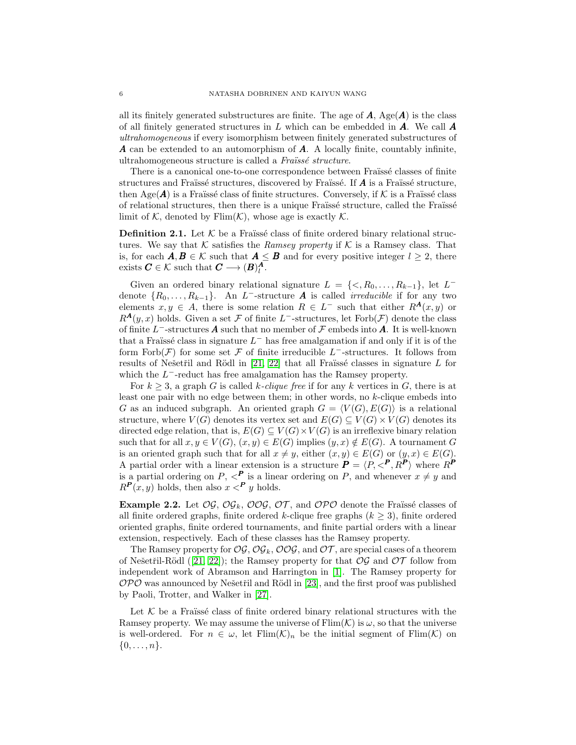all its finitely generated substructures are finite. The age of  $\bf{A}$ , Age( $\bf{A}$ ) is the class of all finitely generated structures in  $L$  which can be embedded in  $\mathbf{A}$ . We call  $\mathbf{A}$ *ultrahomogeneous* if every isomorphism between finitely generated substructures of A can be extended to an automorphism of A. A locally finite, countably infinite, ultrahomogeneous structure is called a *Fra¨ıss´e structure*.

There is a canonical one-to-one correspondence between Fraïssé classes of finite structures and Fraïssé structures, discovered by Fraïssé. If  $\vec{A}$  is a Fraïssé structure, then Age( $\boldsymbol{A}$ ) is a Fraüssé class of finite structures. Conversely, if  $\mathcal K$  is a Fraüssé class of relational structures, then there is a unique Fraïssé structure, called the Fraïssé limit of K, denoted by  $\text{Elim}(\mathcal{K})$ , whose age is exactly  $\mathcal{K}$ .

**Definition 2.1.** Let  $\mathcal{K}$  be a Fraüssé class of finite ordered binary relational structures. We say that K satisfies the *Ramsey property* if K is a Ramsey class. That is, for each  $\mathbf{A}, \mathbf{B} \in \mathcal{K}$  such that  $\mathbf{A} \leq \mathbf{B}$  and for every positive integer  $l \geq 2$ , there exists  $C \in \mathcal{K}$  such that  $C \longrightarrow (B)^A_l$ .

Given an ordered binary relational signature  $L = \{<, R_0, \ldots, R_{k-1}\}\$ , let  $L^$ denote  $\{R_0, \ldots, R_{k-1}\}$ . An L<sup>-</sup>-structure **A** is called *irreducible* if for any two elements  $x, y \in A$ , there is some relation  $R \in L^-$  such that either  $R^{\mathcal{A}}(x, y)$  or  $R^{\mathcal{A}}(y,x)$  holds. Given a set F of finite L<sup>-</sup>-structures, let Forb $(\mathcal{F})$  denote the class of finite  $L^-$ -structures  $A$  such that no member of  $\mathcal F$  embeds into  $A$ . It is well-known that a Fraïssé class in signature  $L^-$  has free amalgamation if and only if it is of the form Forb $(\mathcal{F})$  for some set  $\mathcal F$  of finite irreducible L<sup>-</sup>-structures. It follows from results of Nešetřil and Rödl in [\[21,](#page-26-22) [22\]](#page-26-23) that all Fraïssé classes in signature L for which the  $L^-$ -reduct has free amalgamation has the Ramsey property.

For  $k \geq 3$ , a graph G is called k-*clique free* if for any k vertices in G, there is at least one pair with no edge between them; in other words, no k-clique embeds into G as an induced subgraph. An oriented graph  $G = \langle V(G), E(G) \rangle$  is a relational structure, where  $V(G)$  denotes its vertex set and  $E(G) \subseteq V(G) \times V(G)$  denotes its directed edge relation, that is,  $E(G) \subseteq V(G) \times V(G)$  is an irreflexive binary relation such that for all  $x, y \in V(G), (x, y) \in E(G)$  implies  $(y, x) \notin E(G)$ . A tournament G is an oriented graph such that for all  $x \neq y$ , either  $(x, y) \in E(G)$  or  $(y, x) \in E(G)$ . A partial order with a linear extension is a structure  $P = \langle P, \langle P, R^P \rangle$  where  $R^P$ is a partial ordering on  $P, \langle P \rangle$  is a linear ordering on P, and whenever  $x \neq y$  and  $R^{\mathbf{P}}(x, y)$  holds, then also  $x <^{\mathbf{P}} y$  holds.

**Example 2.2.** Let  $OG$ ,  $OG_k$ ,  $OOG$ ,  $OT$ , and  $OPO$  denote the Fraïssé classes of all finite ordered graphs, finite ordered k-clique free graphs  $(k \geq 3)$ , finite ordered oriented graphs, finite ordered tournaments, and finite partial orders with a linear extension, respectively. Each of these classes has the Ramsey property.

The Ramsey property for  $\mathcal{OG}, \mathcal{OG}_k, \mathcal{OG},$  and  $\mathcal{OT}$ , are special cases of a theorem of Nešetřil-Rödl ([\[21,](#page-26-22) [22\]](#page-26-23)); the Ramsey property for that  $\mathcal{OG}$  and  $\mathcal{OT}$  follow from independent work of Abramson and Harrington in [\[1\]](#page-25-5). The Ramsey property for  $OPO$  was announced by Nešetřil and Rödl in [\[23\]](#page-26-24), and the first proof was published by Paoli, Trotter, and Walker in [\[27\]](#page-26-25).

Let  $K$  be a Fraïssé class of finite ordered binary relational structures with the Ramsey property. We may assume the universe of  $\text{Flim}(\mathcal{K})$  is  $\omega$ , so that the universe is well-ordered. For  $n \in \omega$ , let  $\text{Flim}(\mathcal{K})_n$  be the initial segment of  $\text{Flim}(\mathcal{K})$  on  $\{0,\ldots,n\}.$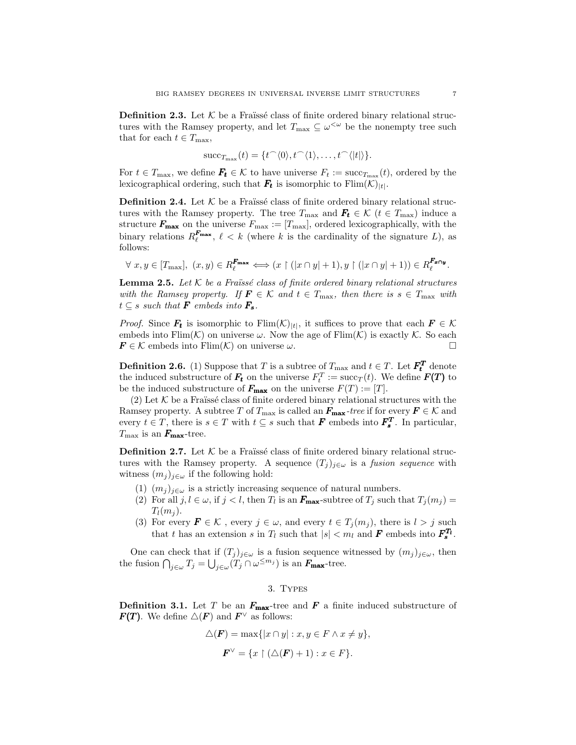<span id="page-6-0"></span>**Definition 2.3.** Let  $K$  be a Fraïssé class of finite ordered binary relational structures with the Ramsey property, and let  $T_{\text{max}} \subseteq \omega^{\lt \omega}$  be the nonempty tree such that for each  $t \in T_{\text{max}}$ ,

$$
\mathrm{succ}_{T_{\max}}(t) = \{t^{\frown}\langle 0\rangle, t^{\frown}\langle 1\rangle, \ldots, t^{\frown}\langle |t|\rangle\}.
$$

For  $t \in T_{\text{max}}$ , we define  $\mathbf{F_t} \in \mathcal{K}$  to have universe  $F_t := \text{succ}_{T_{\text{max}}}(t)$ , ordered by the lexicographical ordering, such that  $\bm{F_t}$  is isomorphic to  $\text{Flim}(\mathcal{K})_{|t|}$ .

<span id="page-6-1"></span>**Definition 2.4.** Let  $K$  be a Fraïssé class of finite ordered binary relational structures with the Ramsey property. The tree  $T_{\text{max}}$  and  $\mathbf{F_t} \in \mathcal{K}$  ( $t \in T_{\text{max}}$ ) induce a structure  $\mathbf{F}_{\text{max}}$  on the universe  $F_{\text{max}} := [T_{\text{max}}]$ , ordered lexicographically, with the binary relations  $R_{\ell}^{F_{\text{max}}}$ ,  $\ell < k$  (where k is the cardinality of the signature L), as follows:

$$
\forall x, y \in [T_{\max}], (x, y) \in R_{\ell}^{\mathbf{F}_{\max}} \Longleftrightarrow (x \upharpoonright (|x \cap y| + 1), y \upharpoonright (|x \cap y| + 1)) \in R_{\ell}^{\mathbf{F}_{x \cap y}}.
$$

**Lemma 2.5.** Let  $K$  be a Fraüssé class of finite ordered binary relational structures *with the Ramsey property. If*  $\mathbf{F} \in \mathcal{K}$  *and*  $t \in T_{\text{max}}$ *, then there is*  $s \in T_{\text{max}}$  *with*  $t \subseteq s$  *such that* **F** *embeds into* **F**<sub>*s*</sub>.

*Proof.* Since  $\mathbf{F_t}$  is isomorphic to  $\text{Elim}(\mathcal{K})_{|t|}$ , it suffices to prove that each  $\mathbf{F} \in \mathcal{K}$ embeds into Flim(K) on universe  $\omega$ . Now the age of Flim(K) is exactly K. So each  $\mathbf{F} \in \mathcal{K}$  embeds into Flim( $\mathcal{K}$ ) on universe  $\omega$ .

<span id="page-6-2"></span>**Definition 2.6.** (1) Suppose that T is a subtree of  $T_{\text{max}}$  and  $t \in T$ . Let  $\mathbf{F_t^T}$  denote the induced substructure of  $F_t$  on the universe  $F_t^T := \text{succ}_T(t)$ . We define  $F(T)$  to be the induced substructure of  $\mathbf{F}_{\text{max}}$  on the universe  $F(T) := [T]$ .

(2) Let  $K$  be a Fraïssé class of finite ordered binary relational structures with the Ramsey property. A subtree T of  $T_{\text{max}}$  is called an  $\mathbf{F}_{\text{max}}$ -tree if for every  $\mathbf{F} \in \mathcal{K}$  and every  $t \in T$ , there is  $s \in T$  with  $t \subseteq s$  such that **F** embeds into  $\mathbf{F}_s^T$ . In particular,  $T_{\rm max}$  is an  $F_{\rm max}$ -tree.

**Definition 2.7.** Let  $K$  be a Fraïssé class of finite ordered binary relational structures with the Ramsey property. A sequence  $(T_i)_{i\in\omega}$  is a *fusion sequence* with witness  $(m_j)_{j\in\omega}$  if the following hold:

- (1)  $(m_j)_{j\in\omega}$  is a strictly increasing sequence of natural numbers.
- (2) For all  $j, l \in \omega$ , if  $j < l$ , then  $T_l$  is an  $\mathbf{F}_{\text{max}}$ -subtree of  $T_j$  such that  $T_j(m_j) =$  $T_l(m_i)$ .
- (3) For every  $\mathbf{F} \in \mathcal{K}$ , every  $j \in \omega$ , and every  $t \in T_i(m_i)$ , there is  $l > j$  such that t has an extension s in  $T_l$  such that  $|s| < m_l$  and F embeds into  $F_s^{T_l}$ .

One can check that if  $(T_j)_{j\in\omega}$  is a fusion sequence witnessed by  $(m_j)_{j\in\omega}$ , then the fusion  $\bigcap_{j\in\omega}T_j=\bigcup_{j\in\omega}(T_j\cap\omega^{\leq m_j})$  is an  $F_{\text{max}}$ -tree.

#### 3. Types

**Definition 3.1.** Let T be an  $F_{\text{max}}$ -tree and F a finite induced substructure of  $\boldsymbol{F(T)}$ . We define  $\triangle(\boldsymbol{F})$  and  $\boldsymbol{F}^{\vee}$  as follows:

$$
\triangle(\mathbf{F}) = \max\{|x \cap y| : x, y \in F \land x \neq y\},\
$$

$$
\mathbf{F}^{\vee} = \{x \restriction (\triangle(\mathbf{F}) + 1) : x \in F\}.
$$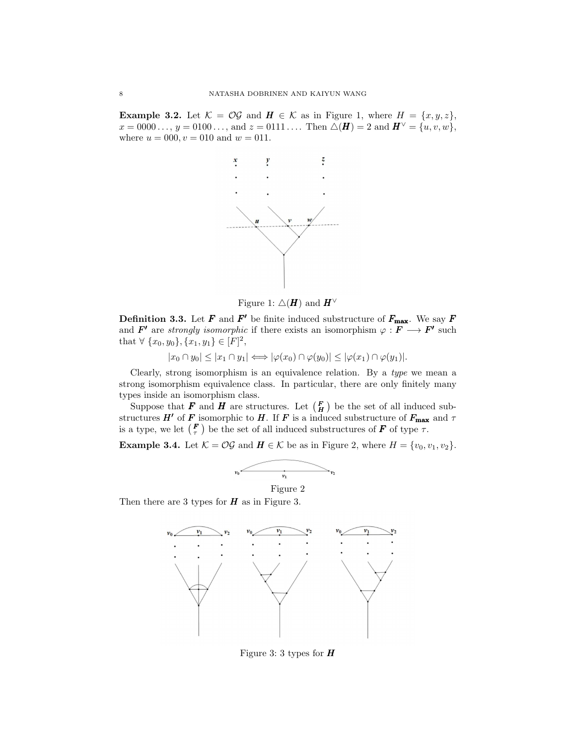**Example 3.2.** Let  $K = \mathcal{OG}$  and  $\mathbf{H} \in \mathcal{K}$  as in Figure 1, where  $H = \{x, y, z\}$ ,  $x = 0000 \ldots, y = 0100 \ldots, \text{ and } z = 0111 \ldots$  Then  $\triangle(\mathbf{H}) = 2$  and  $\mathbf{H}^{\vee} = \{u, v, w\},$ where  $u = 000, v = 010$  and  $w = 011$ .



Figure 1:  $\Delta(H)$  and  $H^{\vee}$ 

**Definition 3.3.** Let **F** and **F'** be finite induced substructure of  $F_{\text{max}}$ . We say **F** and  $F'$  are *strongly isomorphic* if there exists an isomorphism  $\varphi : F \longrightarrow F'$  such that  $\forall \{x_0, y_0\}, \{x_1, y_1\} \in [F]^2$ ,

 $|x_0 \cap y_0| \leq |x_1 \cap y_1| \Longleftrightarrow |\varphi(x_0) \cap \varphi(y_0)| \leq |\varphi(x_1) \cap \varphi(y_1)|.$ 

Clearly, strong isomorphism is an equivalence relation. By a *type* we mean a strong isomorphism equivalence class. In particular, there are only finitely many types inside an isomorphism class.

Suppose that **F** and **H** are structures. Let  $\begin{pmatrix} F \\ H \end{pmatrix}$  be the set of all induced substructures  $H'$  of F isomorphic to H. If F is a induced substructure of  $F_{\text{max}}$  and  $\tau$ is a type, we let  $(F)$  be the set of all induced substructures of  $F$  of type  $\tau$ .

**Example 3.4.** Let  $K = \mathcal{OG}$  and  $H \in \mathcal{K}$  be as in Figure 2, where  $H = \{v_0, v_1, v_2\}.$ 



Figure 2

Then there are 3 types for  $H$  as in Figure 3.



Figure 3: 3 types for  $H$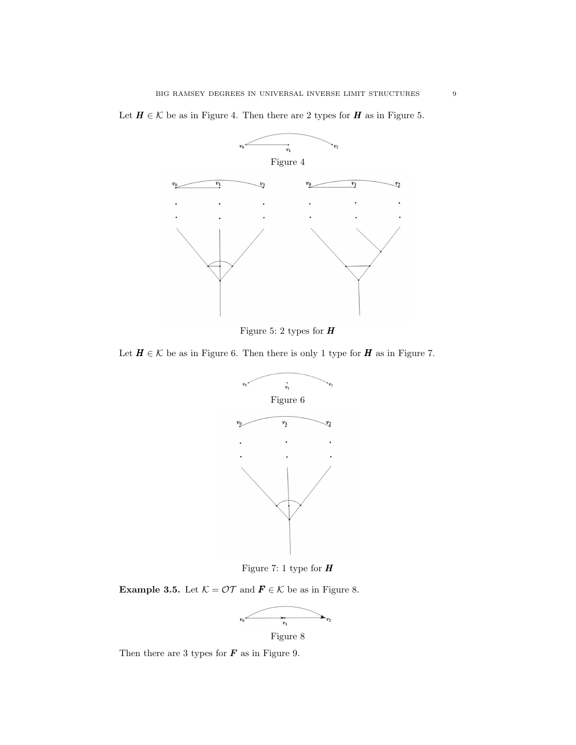

Let  $H \in \mathcal{K}$  be as in Figure 4. Then there are 2 types for  $H$  as in Figure 5.

Figure 5: 2 types for  $H$ 

Let  $H \in \mathcal{K}$  be as in Figure 6. Then there is only 1 type for  $H$  as in Figure 7.



Figure 7: 1 type for  $H$ 

Example 3.5. Let  $K = \mathcal{OT}$  and  $\mathbf{F} \in \mathcal{K}$  be as in Figure 8.



Figure 8

Then there are 3 types for  $\boldsymbol{F}$  as in Figure 9.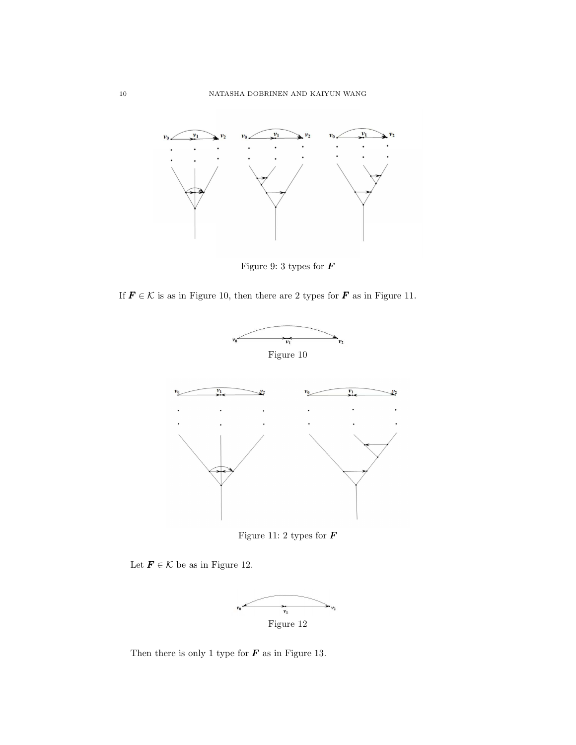

Figure 9: 3 types for  $\pmb{F}$ 

If  $\mathbf{F} \in \mathcal{K}$  is as in Figure 10, then there are 2 types for  $\mathbf{F}$  as in Figure 11.



Figure 11: 2 types for  $\boldsymbol{F}$ 

Let  $\mathbf{F} \in \mathcal{K}$  be as in Figure 12.



Then there is only 1 type for  $\boldsymbol{F}$  as in Figure 13.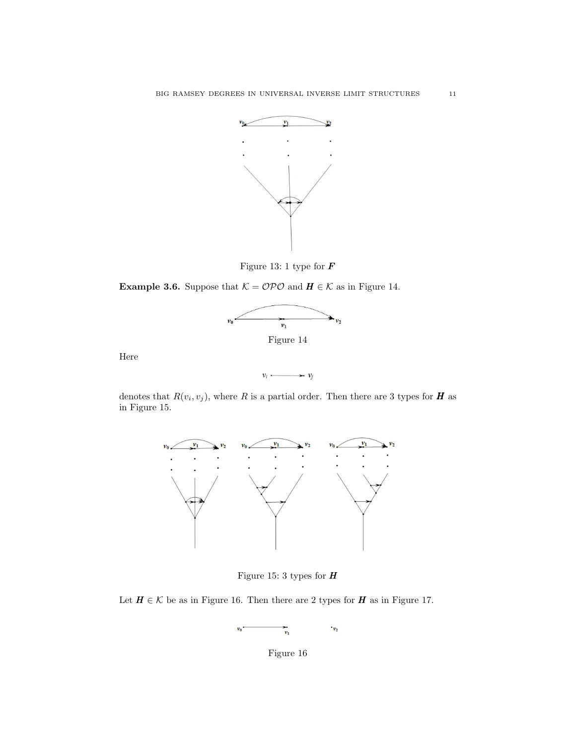

Figure 13: 1 type for  $\pmb{F}$ 

**Example 3.6.** Suppose that  $K = \mathcal{O} \mathcal{P} \mathcal{O}$  and  $H \in \mathcal{K}$  as in Figure 14.



Figure 14

Here

 $v_i \longrightarrow v_j$ 

denotes that  $R(v_i, v_j)$ , where R is a partial order. Then there are 3 types for H as in Figure 15.



Figure 15: 3 types for  $H$ 

Let  $H \in \mathcal{K}$  be as in Figure 16. Then there are 2 types for  $H$  as in Figure 17.

$$
v_0 \xrightarrow{\qquad \qquad } v_1 \qquad \qquad v_2
$$

Figure 16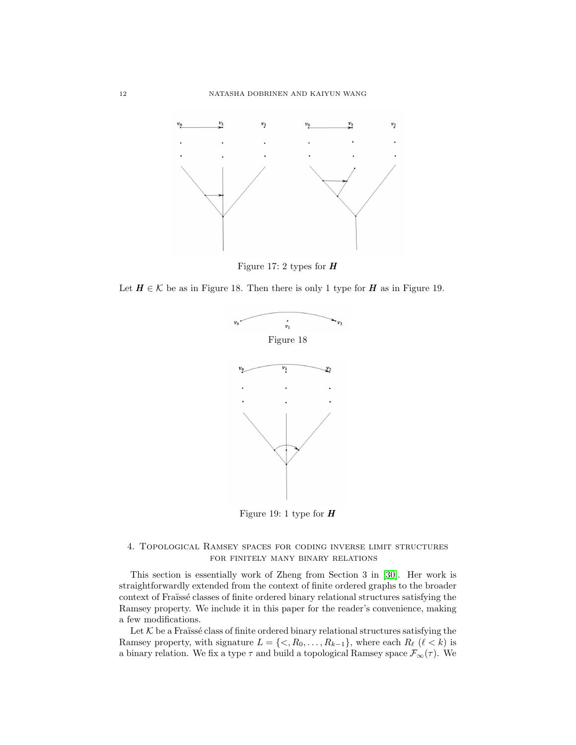

Figure 17: 2 types for  $H$ 

Let  $H \in \mathcal{K}$  be as in Figure 18. Then there is only 1 type for  $H$  as in Figure 19.



Figure 19: 1 type for  $H$ 

### 4. Topological Ramsey spaces for coding inverse limit structures for finitely many binary relations

This section is essentially work of Zheng from Section 3 in [\[30\]](#page-26-21). Her work is straightforwardly extended from the context of finite ordered graphs to the broader context of Fraüssé classes of finite ordered binary relational structures satisfying the Ramsey property. We include it in this paper for the reader's convenience, making a few modifications.

Let  $K$  be a Fraïssé class of finite ordered binary relational structures satisfying the Ramsey property, with signature  $L = \{<, R_0, \ldots, R_{k-1}\}\$ , where each  $R_\ell$  ( $\ell < k$ ) is a binary relation. We fix a type  $\tau$  and build a topological Ramsey space  $\mathcal{F}_{\infty}(\tau)$ . We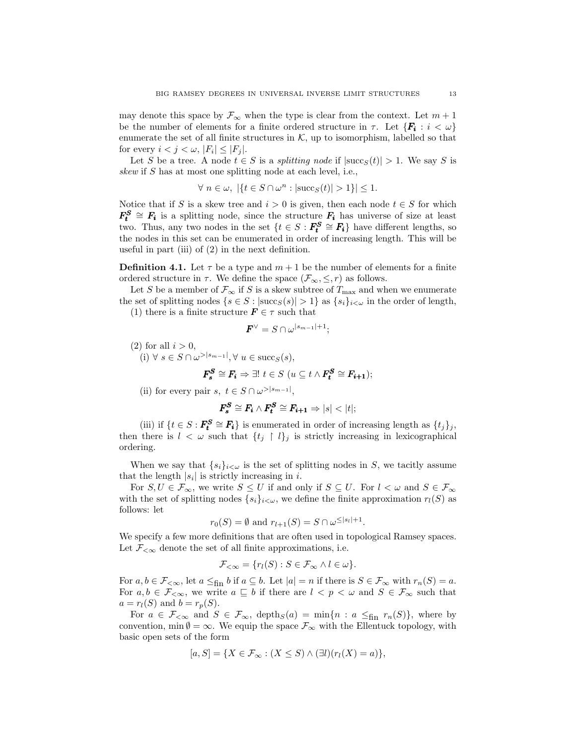may denote this space by  $\mathcal{F}_{\infty}$  when the type is clear from the context. Let  $m + 1$ be the number of elements for a finite ordered structure in  $\tau$ . Let  $\{F_i : i < \omega\}$ enumerate the set of all finite structures in  $K$ , up to isomorphism, labelled so that for every  $i < j < \omega, |F_i| \leq |F_j|$ .

Let S be a tree. A node  $t \in S$  is a *splitting node* if  $|succ(s(t)| > 1$ . We say S is *skew* if S has at most one splitting node at each level, i.e.,

$$
\forall n \in \omega, |\{t \in S \cap \omega^n : |\mathrm{succ}_S(t)| > 1\}| \le 1.
$$

Notice that if S is a skew tree and  $i > 0$  is given, then each node  $t \in S$  for which  $F_t^S \cong F_i$  is a splitting node, since the structure  $F_i$  has universe of size at least two. Thus, any two nodes in the set  $\{t \in S : F_{t}^{S} \cong F_{i}\}\$  have different lengths, so the nodes in this set can be enumerated in order of increasing length. This will be useful in part (iii) of (2) in the next definition.

**Definition 4.1.** Let  $\tau$  be a type and  $m + 1$  be the number of elements for a finite ordered structure in  $\tau$ . We define the space  $(\mathcal{F}_{\infty}, \leq, r)$  as follows.

Let S be a member of  $\mathcal{F}_{\infty}$  if S is a skew subtree of  $T_{\max}$  and when we enumerate the set of splitting nodes  $\{s \in S : |\text{succ}_S(s)| > 1\}$  as  $\{s_i\}_{i \leq \omega}$  in the order of length,

(1) there is a finite structure  $\mathbf{F} \in \tau$  such that

$$
\pmb{F}^{\vee}=S\cap \omega^{|s_{m-1}|+1};
$$

- (2) for all  $i > 0$ ,
- $(i) \forall s \in S \cap \omega^{> |s_{m-1}|}, \forall u \in \text{succ}_S(s),$

$$
\boldsymbol{F^S_s} \cong \boldsymbol{F_i} \Rightarrow \exists! \ t \in S \ (u \subseteq t \land \boldsymbol{F^S_t} \cong \boldsymbol{F_{i+1}});
$$

(ii) for every pair  $s, t \in S \cap \omega^{> |s_{m-1}|},$ 

$$
\pmb{F^S_s} \cong \pmb{F_i} \wedge \pmb{F^S_t} \cong \pmb{F_{i+1}} \Rightarrow |s| < |t|;
$$

(iii) if  $\{t \in S : \mathbf{F_i^S} \cong \mathbf{F_i}\}$  is enumerated in order of increasing length as  $\{t_j\}_j$ , then there is  $l < \omega$  such that  $\{t_i \restriction l\}$  is strictly increasing in lexicographical ordering.

When we say that  $\{s_i\}_{i\leq \omega}$  is the set of splitting nodes in S, we tacitly assume that the length  $|s_i|$  is strictly increasing in *i*.

For  $S, U \in \mathcal{F}_{\infty}$ , we write  $S \leq U$  if and only if  $S \subseteq U$ . For  $l < \omega$  and  $S \in \mathcal{F}_{\infty}$ with the set of splitting nodes  $\{s_i\}_{i\lt\omega}$ , we define the finite approximation  $r_l(S)$  as follows: let

$$
r_0(S) = \emptyset \text{ and } r_{l+1}(S) = S \cap \omega^{\leq |s_l|+1}.
$$

We specify a few more definitions that are often used in topological Ramsey spaces. Let  $\mathcal{F}_{< \infty}$  denote the set of all finite approximations, i.e.

$$
\mathcal{F}_{<\infty} = \{r_l(S) : S \in \mathcal{F}_{\infty} \land l \in \omega\}.
$$

For  $a, b \in \mathcal{F}_{\leq \infty}$ , let  $a \leq_{fin} b$  if  $a \subseteq b$ . Let  $|a| = n$  if there is  $S \in \mathcal{F}_{\infty}$  with  $r_n(S) = a$ . For  $a, b \in \mathcal{F}_{\leq \infty}$ , we write  $a \subseteq b$  if there are  $l < p < \omega$  and  $S \in \mathcal{F}_{\infty}$  such that  $a = r_l(S)$  and  $b = r_p(S)$ .

For  $a \in \mathcal{F}_{< \infty}$  and  $S \in \mathcal{F}_{\infty}$ , depth $s(a) = \min\{n : a \leq_{\text{fin}} r_n(S)\}\$ , where by convention, min  $\emptyset = \infty$ . We equip the space  $\mathcal{F}_{\infty}$  with the Ellentuck topology, with basic open sets of the form

$$
[a, S] = \{ X \in \mathcal{F}_{\infty} : (X \leq S) \wedge (\exists l)(r_l(X) = a) \},
$$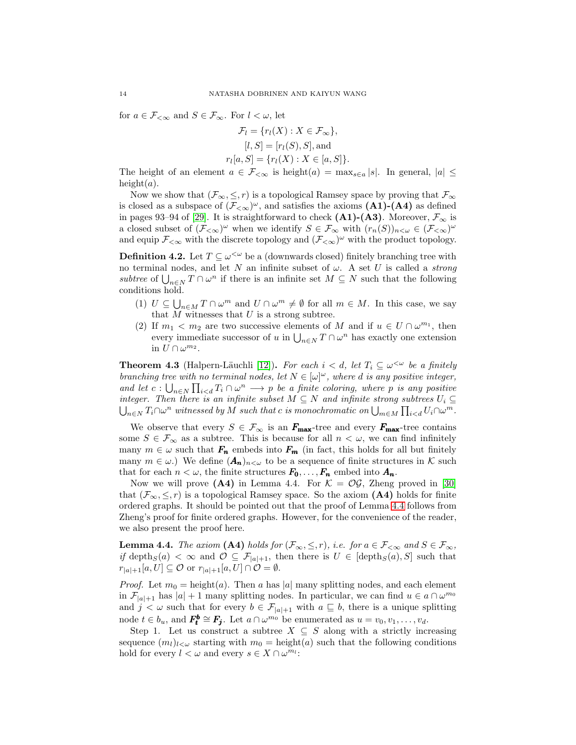for  $a \in \mathcal{F}_{< \infty}$  and  $S \in \mathcal{F}_{\infty}$ . For  $l < \omega$ , let

$$
\mathcal{F}_l = \{r_l(X) : X \in \mathcal{F}_{\infty}\},
$$

$$
[l, S] = [r_l(S), S],
$$
and
$$
r_l[a, S] = \{r_l(X) : X \in [a, S]\}.
$$

The height of an element  $a \in \mathcal{F}_{< \infty}$  is height $(a) = \max_{s \in a} |s|$ . In general,  $|a| \leq$ height $(a)$ .

Now we show that  $(\mathcal{F}_{\infty}, \leq, r)$  is a topological Ramsey space by proving that  $\mathcal{F}_{\infty}$ is closed as a subspace of  $(\mathcal{F}_{< \infty})^{\omega}$ , and satisfies the axioms  $(A1)-(A4)$  as defined in pages 93–94 of [\[29\]](#page-26-18). It is straightforward to check  $(A1)-(A3)$ . Moreover,  $\mathcal{F}_{\infty}$  is a closed subset of  $(\mathcal{F}_{< \infty})^{\omega}$  when we identify  $S \in \mathcal{F}_{\infty}$  with  $(r_n(S))_{n \leq \omega} \in (\mathcal{F}_{< \infty})^{\omega}$ and equip  $\mathcal{F}_{< \infty}$  with the discrete topology and  $(\mathcal{F}_{< \infty})^{\omega}$  with the product topology.

**Definition 4.2.** Let  $T \subseteq \omega^{\leq \omega}$  be a (downwards closed) finitely branching tree with no terminal nodes, and let N an infinite subset of  $\omega$ . A set U is called a *strong subtree* of  $\bigcup_{n\in\mathbb{N}} T \cap \omega^n$  if there is an infinite set  $M \subseteq N$  such that the following conditions hold.

- (1)  $U \subseteq \bigcup_{n \in M} T \cap \omega^m$  and  $U \cap \omega^m \neq \emptyset$  for all  $m \in M$ . In this case, we say that  $M$  witnesses that  $U$  is a strong subtree.
- (2) If  $m_1 < m_2$  are two successive elements of M and if  $u \in U \cap \omega^{m_1}$ , then every immediate successor of u in  $\bigcup_{n\in N} T \cap \omega^n$  has exactly one extension in  $U \cap \omega^{m_2}$ .

**Theorem 4.3** (Halpern-Läuchli [\[12\]](#page-26-16)). For each  $i < d$ , let  $T_i \subseteq \omega^{\lt \omega}$  be a finitely *branching tree with no terminal nodes, let*  $N \in [\omega]^\omega$ *, where d is any positive integer,* and let  $c: \bigcup_{n\in\mathbb{N}} \prod_{i be a finite coloring, where p is any positive$ *integer. Then there is an infinite subset*  $M \subseteq N$  *and infinite strong subtrees*  $U_i \subseteq$  $\bigcup_{n\in N} T_i \cap \omega^n$  witnessed by M such that c is monochromatic on  $\bigcup_{m\in M} \prod_{i.$ 

We observe that every  $S \in \mathcal{F}_{\infty}$  is an  $\mathbf{F}_{\text{max}}$ -tree and every  $\mathbf{F}_{\text{max}}$ -tree contains some  $S \in \mathcal{F}_{\infty}$  as a subtree. This is because for all  $n < \omega$ , we can find infinitely many  $m \in \omega$  such that  $F_n$  embeds into  $F_m$  (in fact, this holds for all but finitely many  $m \in \omega$ .) We define  $(A_n)_{n<\omega}$  to be a sequence of finite structures in K such that for each  $n < \omega$ , the finite structures  $F_0, \ldots, F_n$  embed into  $A_n$ .

Now we will prove (A4) in Lemma 4.4. For  $K = \mathcal{OG}$ , Zheng proved in [\[30\]](#page-26-21) that  $(\mathcal{F}_{\infty}, \leq, r)$  is a topological Ramsey space. So the axiom (A4) holds for finite ordered graphs. It should be pointed out that the proof of Lemma [4.4](#page-13-0) follows from Zheng's proof for finite ordered graphs. However, for the convenience of the reader, we also present the proof here.

<span id="page-13-0"></span>**Lemma 4.4.** *The axiom* (A4) *holds for*  $(\mathcal{F}_{\infty}, \leq, r)$ *, i.e. for*  $a \in \mathcal{F}_{\leq \infty}$  *and*  $S \in \mathcal{F}_{\infty}$ *, if* depth<sub>S</sub>(a) <  $\infty$  and  $\mathcal{O} \subseteq \mathcal{F}_{|a|+1}$ , then there is  $U \in [\text{depth}_S(a), S]$  such that  $r_{|a|+1}[a, U] \subseteq \mathcal{O}$  or  $r_{|a|+1}[a, U] \cap \mathcal{O} = \emptyset$ .

*Proof.* Let  $m_0 = \text{height}(a)$ . Then a has |a| many splitting nodes, and each element in  $\mathcal{F}_{|a|+1}$  has  $|a|+1$  many splitting nodes. In particular, we can find  $u \in a \cap \omega^{m_0}$ and  $j < \omega$  such that for every  $b \in \mathcal{F}_{|a|+1}$  with  $a \subseteq b$ , there is a unique splitting node  $t \in b_u$ , and  $\mathbf{F_t^b} \cong \mathbf{F_j}$ . Let  $a \cap \omega^{m_0}$  be enumerated as  $u = v_0, v_1, \ldots, v_d$ .

Step 1. Let us construct a subtree  $X \subseteq S$  along with a strictly increasing sequence  $(m_l)_{l \leq \omega}$  starting with  $m_0 = \text{height}(a)$  such that the following conditions hold for every  $l < \omega$  and every  $s \in X \cap \omega^{m_l}$ :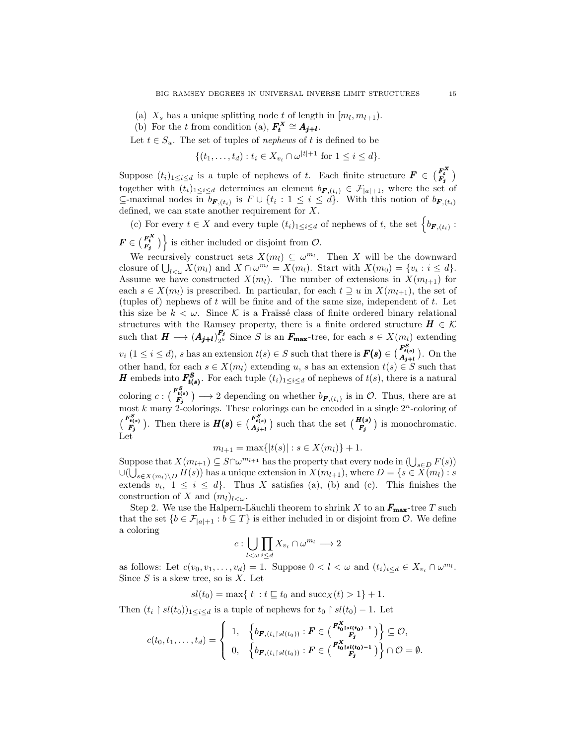- (a)  $X_s$  has a unique splitting node t of length in  $[m_l, m_{l+1})$ .
- (b) For the t from condition (a),  $F_t^X \cong A_{j+l}$ .

Let  $t \in S_u$ . The set of tuples of *nephews* of t is defined to be

$$
\{(t_1, \ldots, t_d) : t_i \in X_{v_i} \cap \omega^{|t|+1} \text{ for } 1 \le i \le d\}.
$$

Suppose  $(t_i)_{1 \leq i \leq d}$  is a tuple of nephews of t. Each finite structure  $\mathbf{F} \in \binom{\mathbf{F_t^X}}{\mathbf{F_j}}$ together with  $(t_i)_{1\leq i\leq d}$  determines an element  $b_{\boldsymbol{F},(t_i)} \in \mathcal{F}_{|a|+1}$ , where the set of  $\subseteq$ -maximal nodes in  $b_{\boldsymbol{F},(t_i)}$  is  $F \cup \{t_i : 1 \leq i \leq d\}$ . With this notion of  $b_{\boldsymbol{F},(t_i)}$ defined, we can state another requirement for  $\boldsymbol{X}.$ 

(c) For every  $t \in X$  and every tuple  $(t_i)_{1 \leq i \leq d}$  of nephews of t, the set  $\{b_{\boldsymbol{F},(t_i)}:$  $\mathbf{F} \in \left(\frac{F_t^X}{F_j}\right)$  is either included or disjoint from  $\mathcal{O}$ .

We recursively construct sets  $X(m_l) \subseteq \omega^{m_l}$ . Then X will be the downward closure of  $\bigcup_{l<\omega}X(m_l)$  and  $X\cap\omega^{m_l}=X(m_l)$ . Start with  $X(m_0)=\{v_i:i\leq d\}$ . Assume we have constructed  $X(m_l)$ . The number of extensions in  $X(m_{l+1})$  for each  $s \in X(m_l)$  is prescribed. In particular, for each  $t \supseteq u$  in  $X(m_{l+1})$ , the set of (tuples of) nephews of t will be finite and of the same size, independent of t. Let this size be  $k < \omega$ . Since K is a Fraïssé class of finite ordered binary relational structures with the Ramsey property, there is a finite ordered structure  $H \in \mathcal{K}$ such that  $H \longrightarrow (A_{\bm{j}+\bm{l}})_{2^k}^{\bm{F}_{\bm{j}}}$  $\mathbf{F}_{2^k}^j$  Since S is an  $\mathbf{F}_{\text{max}}$ -tree, for each  $s \in X(m_l)$  extending  $v_i$   $(1 \leq i \leq d)$ , s has an extension  $t(s) \in S$  such that there is  $\mathbf{F(s)} \in \begin{pmatrix} \mathbf{F_{t(s)}^{SS}} \\ \mathbf{A_{j+t}} \end{pmatrix}$ . On the other hand, for each  $s \in X(m_l)$  extending u, s has an extension  $t(s) \in S$  such that **H** embeds into  $F_{t(s)}^S$ . For each tuple  $(t_i)_{1 \leq i \leq d}$  of nephews of  $t(s)$ , there is a natural coloring  $c: \binom{F_{t(s)}^S}{F_j} \longrightarrow 2$  depending on whether  $b_{\mathbf{F},(t_i)}$  is in  $\mathcal{O}$ . Thus, there are at most k many 2-colorings. These colorings can be encoded in a single  $2<sup>n</sup>$ -coloring of  $\binom{F_{t(s)}^S}{F_j}$ . Then there is  $H(s) \in \binom{F_{t(s)}^S}{A_{j+l}}$  such that the set  $\binom{H(s)}{F_j}$  is monochromatic. Let

 $m_{l+1} = \max\{|t(s)| : s \in X(m_l)\} + 1.$ 

Suppose that  $X(m_{l+1}) \subseteq S \cap \omega^{m_{l+1}}$  has the property that every node in  $(\bigcup_{s \in D} F(s))$  $\cup (\bigcup_{s \in X(m_l) \setminus D} H(s))$  has a unique extension in  $X(m_{l+1}),$  where  $D = \{s \in X(m_l) : s \in S \}$ extends  $v_i$ ,  $1 \leq i \leq d$ . Thus X satisfies (a), (b) and (c). This finishes the construction of X and  $(m_l)_{l\lt\omega}$ .

Step 2. We use the Halpern-Läuchli theorem to shrink X to an  $F_{\text{max}}$ -tree T such that the set  $\{b \in \mathcal{F}_{|a|+1} : b \subseteq T\}$  is either included in or disjoint from  $\mathcal{O}$ . We define a coloring

$$
c:\bigcup_{l<\omega}\prod_{i\leq d}X_{v_i}\cap\omega^{m_l}\longrightarrow 2
$$

as follows: Let  $c(v_0, v_1, \ldots, v_d) = 1$ . Suppose  $0 < l < \omega$  and  $(t_i)_{i \le d} \in X_{v_i} \cap \omega^{m_l}$ . Since  $S$  is a skew tree, so is  $X$ . Let

$$
sl(t_0) = \max\{|t| : t \sqsubseteq t_0 \text{ and } \mathrm{succ}_X(t) > 1\} + 1.
$$

Then  $(t_i \restriction sl(t_0))_{1 \leq i \leq d}$  is a tuple of nephews for  $t_0 \restriction sl(t_0) - 1$ . Let

$$
c(t_0, t_1, \ldots, t_d) = \begin{cases} 1, & \left\{ b_{\boldsymbol{F}, (t_i \upharpoonright sl(t_0))} : \boldsymbol{F} \in {\begin{pmatrix} F_{\boldsymbol{t}_0}^{\boldsymbol{X}} \boldsymbol{s}_l(t_0) - 1 \\ \boldsymbol{F}_j \end{pmatrix}} \right\} \subseteq \mathcal{O}, \\ 0, & \left\{ b_{\boldsymbol{F}, (t_i \upharpoonright sl(t_0))} : \boldsymbol{F} \in {\begin{pmatrix} F_{\boldsymbol{t}_0}^{\boldsymbol{X}} \boldsymbol{s}_l(t_0) - 1 \\ \boldsymbol{F}_j \end{pmatrix}} \right\} \cap \mathcal{O} = \emptyset. \end{cases}
$$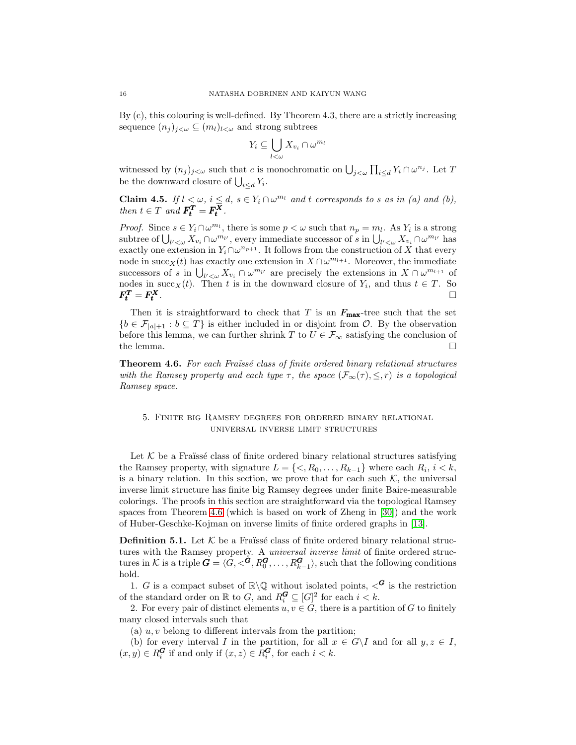By (c), this colouring is well-defined. By Theorem 4.3, there are a strictly increasing sequence  $(n_j)_{j<\omega}\subseteq (m_l)_{l<\omega}$  and strong subtrees

$$
Y_i \subseteq \bigcup_{l < \omega} X_{v_i} \cap \omega^{m_l}
$$

witnessed by  $(n_j)_{j<\omega}$  such that c is monochromatic on  $\bigcup_{j<\omega}\prod_{i\leq d}Y_i\cap\omega^{n_j}$ . Let T be the downward closure of  $\bigcup_{i \leq d} Y_i$ .

**Claim 4.5.** *If*  $l < \omega$ ,  $i \leq d$ ,  $s \in Y_i \cap \omega^{m_l}$  *and t corresponds to s as in (a) and (b), then*  $t \in T$  *and*  $\mathbf{F_t^T} = \mathbf{F_t^X}$ .

*Proof.* Since  $s \in Y_i \cap \omega^{m_l}$ , there is some  $p < \omega$  such that  $n_p = m_l$ . As  $Y_i$  is a strong subtree of  $\bigcup_{l'<\omega} X_{v_i} \cap \omega^{m_{l'}}$ , every immediate successor of s in  $\bigcup_{l'<\omega} X_{v_i} \cap \omega^{m_{l'}}$  has exactly one extension in  $Y_i \cap \omega^{n_{p+1}}$ . It follows from the construction of X that every node in succ<sub>X</sub>(t) has exactly one extension in  $X \cap \omega^{m_{l+1}}$ . Moreover, the immediate successors of s in  $\bigcup_{l' < \omega} X_{v_i} \cap \omega^{m_{l'}}$  are precisely the extensions in  $X \cap \omega^{m_{l+1}}$  of nodes in succ<sub>X</sub>(*t*). Then *t* is in the downward closure of  $Y_i$ , and thus  $t \in T$ . So  $F_t^T = F_t^X$ .

Then it is straightforward to check that T is an  $F_{\text{max}}$ -tree such that the set  ${b \in \mathcal{F}_{|a|+1} : b \subseteq T}$  is either included in or disjoint from  $\mathcal{O}$ . By the observation before this lemma, we can further shrink T to  $U \in \mathcal{F}_{\infty}$  satisfying the conclusion of the lemma.  $\Box$ 

<span id="page-15-0"></span>**Theorem 4.6.** For each Fraüssé class of finite ordered binary relational structures *with the Ramsey property and each type*  $\tau$ *, the space*  $(\mathcal{F}_{\infty}(\tau), \leq, r)$  *is a topological Ramsey space.*

## 5. Finite big Ramsey degrees for ordered binary relational universal inverse limit structures

Let  $K$  be a Fraüssé class of finite ordered binary relational structures satisfying the Ramsey property, with signature  $L = \{ \langle R_0, \ldots, R_{k-1} \}$  where each  $R_i, i \langle k \rangle$ , is a binary relation. In this section, we prove that for each such  $K$ , the universal inverse limit structure has finite big Ramsey degrees under finite Baire-measurable colorings. The proofs in this section are straightforward via the topological Ramsey spaces from Theorem [4.6](#page-15-0) (which is based on work of Zheng in [\[30\]](#page-26-21)) and the work of Huber-Geschke-Kojman on inverse limits of finite ordered graphs in [\[13\]](#page-26-20).

**Definition 5.1.** Let  $\mathcal{K}$  be a Fraüssé class of finite ordered binary relational structures with the Ramsey property. A *universal inverse limit* of finite ordered structures in K is a triple  $G = \langle G, <^G, R_0^G, \ldots, R_{k-1}^G \rangle$ , such that the following conditions hold.

1. G is a compact subset of  $\mathbb{R}\backslash\mathbb{Q}$  without isolated points,  $\langle G \rangle$  is the restriction of the standard order on  $\mathbb R$  to  $G$ , and  $R_i^{\mathbf{G}} \subseteq [G]^2$  for each  $i < k$ .

2. For every pair of distinct elements  $u, v \in G$ , there is a partition of G to finitely many closed intervals such that

(a)  $u, v$  belong to different intervals from the partition;

(b) for every interval I in the partition, for all  $x \in G\backslash I$  and for all  $y, z \in I$ ,  $(x, y) \in R_i^{\mathbf{G}}$  if and only if  $(x, z) \in R_i^{\mathbf{G}}$ , for each  $i < k$ .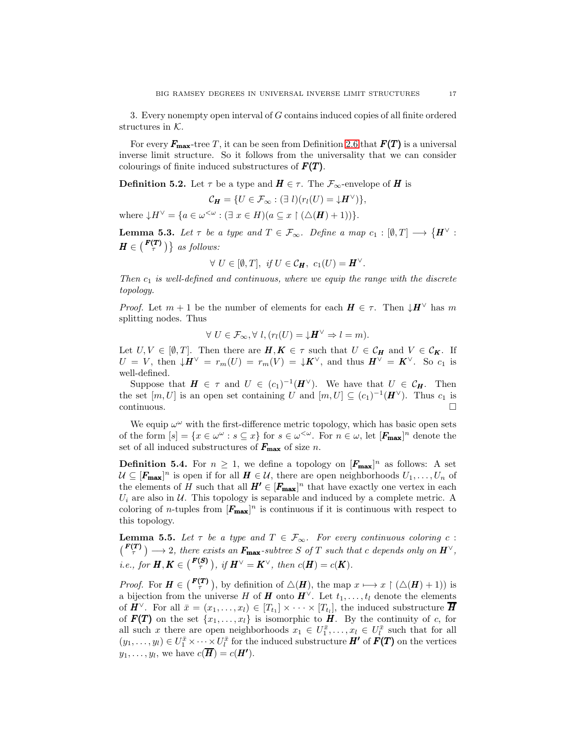3. Every nonempty open interval of G contains induced copies of all finite ordered structures in  $K$ .

For every  $F_{\text{max}}$ -tree T, it can be seen from Definition [2.6](#page-6-2) that  $F(T)$  is a universal inverse limit structure. So it follows from the universality that we can consider colourings of finite induced substructures of  $F(T)$ .

**Definition 5.2.** Let  $\tau$  be a type and  $H \in \tau$ . The  $\mathcal{F}_{\infty}$ -envelope of H is

$$
\mathcal{C}_{\mathbf{H}} = \{ U \in \mathcal{F}_{\infty} : (\exists l)(r_l(U) = \downarrow \mathbf{H}^{\vee}) \},
$$

where  $\downarrow H^{\vee} = \{ a \in \omega^{\leq \omega} : (\exists x \in H)(a \subseteq x \restriction (\triangle(H) + 1)) \}.$ 

**Lemma 5.3.** Let  $\tau$  be a type and  $T \in \mathcal{F}_{\infty}$ . Define a map  $c_1 : [\emptyset, T] \longrightarrow \{H^{\vee} :$  $H \in \left( \frac{F(T)}{\tau} \right) \}$  as follows:

$$
\forall U \in [\emptyset, T], \text{ if } U \in \mathcal{C}_H, \text{ } c_1(U) = H^{\vee}.
$$

*Then*  $c_1$  *is well-defined and continuous, where we equip the range with the discrete topology.*

*Proof.* Let  $m + 1$  be the number of elements for each  $\mathbf{H} \in \tau$ . Then  $\downarrow \mathbf{H}^{\vee}$  has m splitting nodes. Thus

$$
\forall U \in \mathcal{F}_{\infty}, \forall l, (r_l(U) = \downarrow \mathbf{H}^{\vee} \Rightarrow l = m).
$$

Let  $U, V \in [\emptyset, T]$ . Then there are  $H, K \in \tau$  such that  $U \in \mathcal{C}_H$  and  $V \in \mathcal{C}_K$ . If  $U = V$ , then  $\downarrow H^{\vee} = r_m(U) = r_m(V) = \downarrow K^{\vee}$ , and thus  $H^{\vee} = K^{\vee}$ . So  $c_1$  is well-defined.

Suppose that  $H \in \tau$  and  $U \in (c_1)^{-1}(H^{\vee})$ . We have that  $U \in \mathcal{C}_H$ . Then the set  $[m, U]$  is an open set containing U and  $[m, U] \subseteq (c_1)^{-1} (H^{\vee})$ . Thus  $c_1$  is  $\Box$ continuous.

We equip  $\omega^{\omega}$  with the first-difference metric topology, which has basic open sets of the form  $[s] = \{x \in \omega^\omega : s \subseteq x\}$  for  $s \in \omega^{\langle \omega \rangle}$ . For  $n \in \omega$ , let  $[F_{\max}]^n$  denote the set of all induced substructures of  $F_{\text{max}}$  of size n.

**Definition 5.4.** For  $n \geq 1$ , we define a topology on  $[F_{\text{max}}]^n$  as follows: A set  $\mathcal{U} \subseteq [\mathbf{F}_{\text{max}}]^n$  is open if for all  $\mathbf{H} \in \mathcal{U}$ , there are open neighborhoods  $U_1, \ldots, U_n$  of the elements of H such that all  $H' \in [F_{\text{max}}]^n$  that have exactly one vertex in each  $U_i$  are also in  $U_i$ . This topology is separable and induced by a complete metric. A coloring of *n*-tuples from  $[F_{\text{max}}]^n$  is continuous if it is continuous with respect to this topology.

**Lemma 5.5.** Let  $\tau$  be a type and  $T \in \mathcal{F}_{\infty}$ . For every continuous coloring c :  $(F^{(T)}_{\tau}) \longrightarrow 2$ , there exists an  $F_{\text{max}}$ -subtree S of T such that c depends only on  $H^{\vee}$ , *i.e., for*  $H, K \in \binom{F(S)}{\tau}$ , *if*  $H^{\vee} = K^{\vee}$ , *then*  $c(H) = c(K)$ *.* 

*Proof.* For  $\mathbf{H} \in \binom{\mathbf{F(T)}}{\tau}$ , by definition of  $\Delta(\mathbf{H})$ , the map  $x \mapsto x \upharpoonright (\Delta(\mathbf{H}) + 1)$  is a bijection from the universe H of **H** onto  $H^{\vee}$ . Let  $t_1, \ldots, t_l$  denote the elements of  $\pmb{H}^{\vee}$ . For all  $\bar{x} = (x_1, \ldots, x_l) \in [T_{t_1}] \times \cdots \times [T_{t_l}]$ , the induced substructure  $\overline{\pmb{H}}$ of  $F(T)$  on the set  $\{x_1, \ldots, x_l\}$  is isomorphic to H. By the continuity of c, for all such x there are open neighborhoods  $x_1 \in U_1^{\bar{x}}, \ldots, x_l \in U_l^{\bar{x}}$  such that for all  $(y_1,\ldots,y_l)\in U^{\bar{x}}_1\times\cdots\times U^{\bar{x}}_l$  for the induced substructure  $H'$  of  $F(T)$  on the vertices  $y_1, \ldots, y_l$ , we have  $c(\overline{H}) = c(H')$ .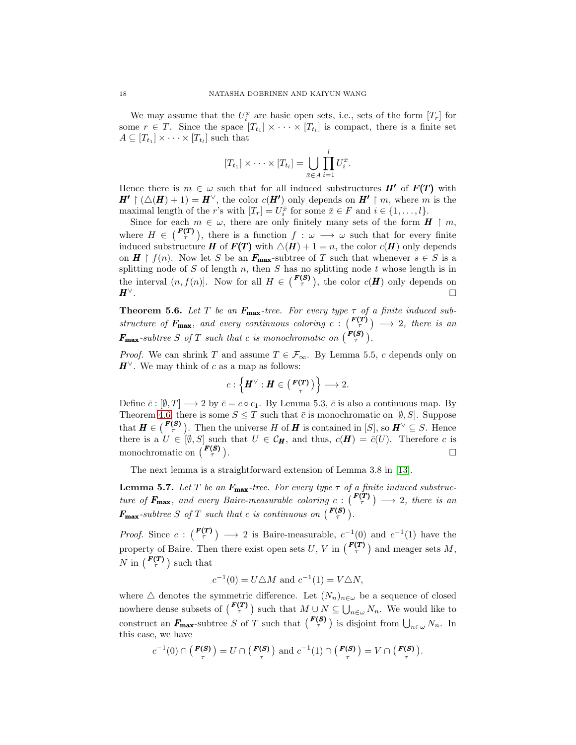We may assume that the  $U_i^{\bar{x}}$  are basic open sets, i.e., sets of the form  $[T_r]$  for some  $r \in T$ . Since the space  $[T_{t_1}] \times \cdots \times [T_{t_l}]$  is compact, there is a finite set  $A \subseteq [T_{t_1}] \times \cdots \times [T_{t_l}]$  such that

$$
[T_{t_1}] \times \cdots \times [T_{t_l}] = \bigcup_{\bar{x} \in A} \prod_{i=1}^l U_i^{\bar{x}}.
$$

Hence there is  $m \in \omega$  such that for all induced substructures  $H'$  of  $F(T)$  with  $H' \restriction (\triangle(H) + 1) = H^{\vee}$ , the color  $c(H')$  only depends on  $H' \restriction m$ , where m is the maximal length of the *r*'s with  $[T_r] = U_i^{\bar{x}}$  for some  $\bar{x} \in F$  and  $i \in \{1, ..., l\}$ .

Since for each  $m \in \omega$ , there are only finitely many sets of the form  $H \restriction m$ , where  $H \in \binom{\mathbf{F(T)}}{\tau}$ , there is a function  $f : \omega \longrightarrow \omega$  such that for every finite induced substructure **H** of  $F(T)$  with  $\triangle(H) + 1 = n$ , the color  $c(H)$  only depends on  $H \restriction f(n)$ . Now let S be an  $F_{\text{max}}$ -subtree of T such that whenever  $s \in S$  is a splitting node of  $S$  of length  $n$ , then  $S$  has no splitting node  $t$  whose length is in the interval  $(n, f(n)]$ . Now for all  $H \in \binom{F(S)}{\tau}$ , the color  $c(H)$  only depends on  $H^{\vee}$ .

**Theorem 5.6.** Let T be an  $F_{\text{max}}$ -tree. For every type  $\tau$  of a finite induced sub*structure of*  $\mathbf{F}_{\text{max}}$ *, and every continuous coloring*  $c: \binom{\mathbf{F(T)}}{\tau} \longrightarrow 2$ *, there is an*  $\mathbf{F_{max}}$ -subtree *S* of *T* such that *c* is monochromatic on  $\binom{\mathbf{F(S)}}{\tau}$ .

*Proof.* We can shrink T and assume  $T \in \mathcal{F}_{\infty}$ . By Lemma 5.5, c depends only on  $H^{\vee}$ . We may think of c as a map as follows:

$$
c: \left\{ H^{\vee} : H \in \left( \begin{smallmatrix} F(T) \\ \tau \end{smallmatrix} \right) \right\} \longrightarrow 2.
$$

Define  $\bar{c} : [0, T] \longrightarrow 2$  by  $\bar{c} = c \circ c_1$ . By Lemma 5.3,  $\bar{c}$  is also a continuous map. By Theorem [4.6,](#page-15-0) there is some  $S \leq T$  such that  $\bar{c}$  is monochromatic on  $[\emptyset, S]$ . Suppose that  $\mathbf{H} \in \binom{\mathbf{F(S)}}{\tau}$ . Then the universe H of **H** is contained in [S], so  $\mathbf{H}^{\vee} \subseteq S$ . Hence there is a  $U \in [\emptyset, S]$  such that  $U \in \mathcal{C}_H$ , and thus,  $c(H) = \overline{c}(U)$ . Therefore c is monochromatic on  $\binom{F(S)}{\tau}$ .

The next lemma is a straightforward extension of Lemma 3.8 in [\[13\]](#page-26-20).

**Lemma 5.7.** Let T be an  $F_{\text{max}}$ -tree. For every type  $\tau$  of a finite induced substruc*ture of*  $F_{\text{max}}$ *, and every Baire-measurable coloring*  $c: \binom{F(T)}{\tau} \longrightarrow 2$ *, there is an*  $\mathbf{F}_{\text{max}}$ -subtree S of T such that c is continuous on  $\begin{pmatrix} \mathbf{F}(\mathbf{S}) \\ \tau \end{pmatrix}$ .

*Proof.* Since  $c: \binom{F(T)}{\tau} \longrightarrow 2$  is Baire-measurable,  $c^{-1}(0)$  and  $c^{-1}(1)$  have the property of Baire. Then there exist open sets  $U, V$  in  $\binom{F(T)}{\tau}$  and meager sets M, N in  $\binom{F(T)}{\tau}$  such that

$$
c^{-1}(0) = U \triangle M
$$
 and  $c^{-1}(1) = V \triangle N$ ,

where  $\Delta$  denotes the symmetric difference. Let  $(N_n)_{n\in\omega}$  be a sequence of closed nowhere dense subsets of  $\binom{F(T)}{\tau}$  such that  $M \cup N \subseteq \bigcup_{n \in \omega} N_n$ . We would like to construct an  $F_{\text{max}}$ -subtree S of T such that  $\binom{F(S)}{\tau}$  is disjoint from  $\bigcup_{n\in\omega}N_n$ . In this case, we have

$$
c^{-1}(0) \cap \left(\frac{F(S)}{\tau}\right) = U \cap \left(\frac{F(S)}{\tau}\right) \text{ and } c^{-1}(1) \cap \left(\frac{F(S)}{\tau}\right) = V \cap \left(\frac{F(S)}{\tau}\right).
$$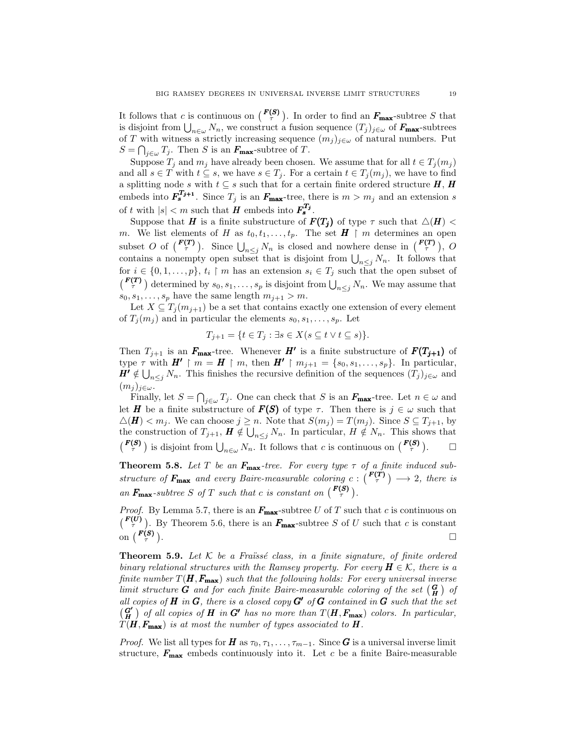It follows that c is continuous on  $\binom{F(S)}{\tau}$ . In order to find an  $F_{\text{max}}$ -subtree S that is disjoint from  $\bigcup_{n\in\omega}N_n$ , we construct a fusion sequence  $(T_j)_{j\in\omega}$  of  $\mathbf{F}_{\text{max}}$ -subtrees of T with witness a strictly increasing sequence  $(m_j)_{j\in\omega}$  of natural numbers. Put  $S = \bigcap_{j \in \omega} T_j$ . Then S is an  $\mathbf{F}_{\text{max}}$ -subtree of T.

Suppose  $T_j$  and  $m_j$  have already been chosen. We assume that for all  $t \in T_j(m_j)$ and all  $s \in T$  with  $t \subseteq s$ , we have  $s \in T_j$ . For a certain  $t \in T_j(m_j)$ , we have to find a splitting node s with  $t \subseteq s$  such that for a certain finite ordered structure  $H, H$ embeds into  $\mathbf{F}_s^{T_{j+1}}$ . Since  $T_j$  is an  $\mathbf{F}_{\text{max}}$ -tree, there is  $m > m_j$  and an extension s of t with  $|s| < m$  such that **H** embeds into  $\mathbf{F_s^{T_j}}$ .

Suppose that H is a finite substructure of  $F(T_j)$  of type  $\tau$  such that  $\triangle(H)$  < m. We list elements of H as  $t_0, t_1, \ldots, t_p$ . The set  $H \restriction m$  determines an open subset O of  $\binom{F(T)}{\tau}$ . Since  $\bigcup_{n\leq j}N_n$  is closed and nowhere dense in  $\binom{F(T)}{\tau}$ , O contains a nonempty open subset that is disjoint from  $\bigcup_{n\leq j} N_n$ . It follows that for  $i \in \{0, 1, \ldots, p\}, t_i \restriction m$  has an extension  $s_i \in T_j$  such that the open subset of  $\left(\frac{\boldsymbol{F(T)}}{\tau}\right)$  determined by  $s_0, s_1, \ldots, s_p$  is disjoint from  $\bigcup_{n \leq j} N_n$ . We may assume that  $s_0, s_1, \ldots, s_p$  have the same length  $m_{j+1} > m$ .

Let  $X \subseteq T_i(m_{i+1})$  be a set that contains exactly one extension of every element of  $T_i(m_i)$  and in particular the elements  $s_0, s_1, \ldots, s_p$ . Let

$$
T_{j+1} = \{ t \in T_j : \exists s \in X ( s \subseteq t \lor t \subseteq s) \}.
$$

Then  $T_{j+1}$  is an  $F_{\text{max}}$ -tree. Whenever H' is a finite substructure of  $F(T_{j+1})$  of type  $\tau$  with  $H' \restriction m = H \restriction m$ , then  $H' \restriction m_{j+1} = \{s_0, s_1, \ldots, s_p\}$ . In particular,  $H' \notin \bigcup_{n \leq j} N_n$ . This finishes the recursive definition of the sequences  $(T_j)_{j \in \omega}$  and  $(m_i)_{i\in\omega}$ .

Finally, let  $S = \bigcap_{j \in \omega} T_j$ . One can check that S is an  $F_{\text{max}}$ -tree. Let  $n \in \omega$  and let **H** be a finite substructure of  $F(S)$  of type  $\tau$ . Then there is  $j \in \omega$  such that  $\triangle(\mathbf{H}) < m_j$ . We can choose  $j \geq n$ . Note that  $S(m_j) = T(m_j)$ . Since  $S \subseteq T_{j+1}$ , by the construction of  $T_{j+1}$ ,  $\mathbf{H} \notin \bigcup_{n \leq j} N_n$ . In particular,  $H \notin N_n$ . This shows that  $\left( \frac{\boldsymbol{F}(\boldsymbol{S})}{\tau} \right)$  is disjoint from  $\bigcup_{n \in \omega} N_n$ . It follows that c is continuous on  $\left( \frac{\boldsymbol{F}(\boldsymbol{S})}{\tau} \right)$ .  $\Box$ 

<span id="page-18-0"></span>**Theorem 5.8.** Let T be an  $F_{\text{max}}$ -tree. For every type  $\tau$  of a finite induced sub*structure of*  $F_{\text{max}}$  *and every Baire-measurable coloring*  $c: \binom{F(T)}{\tau} \longrightarrow 2$ *, there is* an  $F_{\text{max}}$ -subtree *S* of *T* such that *c* is constant on  $\begin{pmatrix} F(S) \\ \tau \end{pmatrix}$ .

*Proof.* By Lemma 5.7, there is an  $F_{\text{max}}$ -subtree U of T such that c is continuous on  $\begin{pmatrix} F(U) \\ \tau \end{pmatrix}$ . By Theorem 5.6, there is an  $F_{\text{max}}$ -subtree S of U such that c is constant on  $\left( \frac{\boldsymbol{F(S)}}{\tau} \right)$ .

<span id="page-18-1"></span>**Theorem 5.9.** Let  $K$  be a Fraüssé class, in a finite signature, of finite ordered *binary relational structures with the Ramsey property. For every*  $H \in \mathcal{K}$ , there is a *finite number*  $T(H, F_{\text{max}})$  *such that the following holds: For every universal inverse limit structure G and for each finite Baire-measurable coloring of the set*  $\begin{pmatrix} G \\ H \end{pmatrix}$  *of all copies of* H *in* G*, there is a closed copy* G′ *of* G *contained in* G *such that the set*  $\left(\frac{G'}{H}\right)$  of all copies of **H** in G' has no more than  $T(H, F_{\text{max}})$  colors. In particular,  $T(H, F_{\text{max}})$  *is at most the number of types associated to*  $H$ .

*Proof.* We list all types for  $H$  as  $\tau_0, \tau_1, \ldots, \tau_{m-1}$ . Since G is a universal inverse limit structure,  $F_{\text{max}}$  embeds continuously into it. Let c be a finite Baire-measurable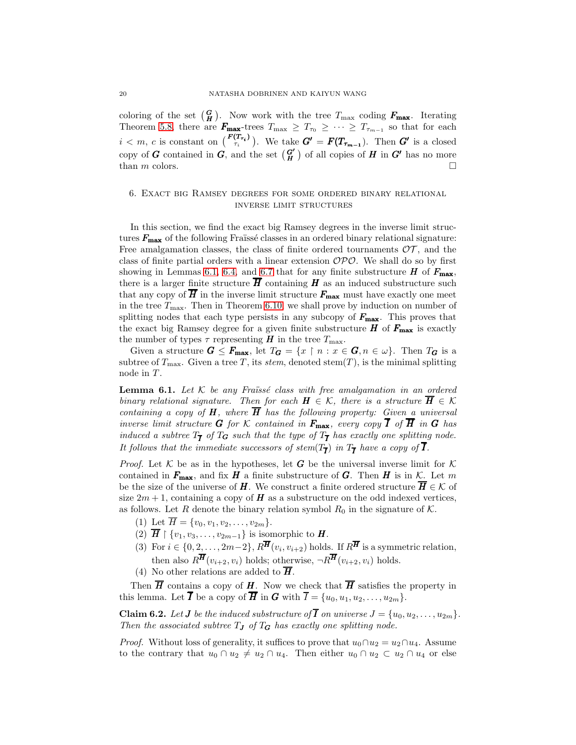coloring of the set  $(\frac{G}{H})$ . Now work with the tree  $T_{\text{max}}$  coding  $F_{\text{max}}$ . Iterating Theorem [5.8,](#page-18-0) there are  $\mathbf{F}_{\text{max}}$ -trees  $T_{\text{max}} \geq T_{\tau_0} \geq \cdots \geq T_{\tau_{m-1}}$  so that for each  $i < m, c$  is constant on  $\binom{F(T_{\tau_i})}{\tau_i}$ . We take  $G' = F(T_{\tau_{m-1}})$ . Then  $G'$  is a closed copy of  $G$  contained in  $G$ , and the set  $\left(\begin{smallmatrix} G' \\ H \end{smallmatrix}\right)$  of all copies of  $H$  in  $G'$  has no more than m colors.

### 6. Exact big Ramsey degrees for some ordered binary relational inverse limit structures

In this section, we find the exact big Ramsey degrees in the inverse limit structures  $F_{\text{max}}$  of the following Fraïssé classes in an ordered binary relational signature: Free amalgamation classes, the class of finite ordered tournaments  $\mathcal{OT}$ , and the class of finite partial orders with a linear extension  $\mathcal{OPO}$ . We shall do so by first showing in Lemmas [6.1,](#page-19-0) [6.4,](#page-21-0) and [6.7](#page-22-0) that for any finite substructure  $H$  of  $F_{\text{max}}$ , there is a larger finite structure  $\overline{H}$  containing H as an induced substructure such that any copy of  $\overline{H}$  in the inverse limit structure  $F_{\text{max}}$  must have exactly one meet in the tree  $T_{\text{max}}$ . Then in Theorem [6.10,](#page-24-0) we shall prove by induction on number of splitting nodes that each type persists in any subcopy of  $F_{\text{max}}$ . This proves that the exact big Ramsey degree for a given finite substructure  $H$  of  $F_{\text{max}}$  is exactly the number of types  $\tau$  representing H in the tree  $T_{\text{max}}$ .

Given a structure  $G \leq F_{\text{max}}$ , let  $T_G = \{x \mid n : x \in G, n \in \omega\}$ . Then  $T_G$  is a subtree of  $T_{\text{max}}$ . Given a tree T, its *stem*, denoted stem $(T)$ , is the minimal splitting node in  $T$ .

<span id="page-19-0"></span>**Lemma 6.1.** Let K be any Fraüssé class with free amalgamation in an ordered *binary relational signature. Then for each*  $\mathbf{H} \in \mathcal{K}$ *, there is a structure*  $\overline{\mathbf{H}} \in \mathcal{K}$ *containing a copy of*  $H$ *, where*  $\overline{H}$  *has the following property: Given a universal inverse limit structure* **G** *for* K *contained in*  $F_{\text{max}}$ *, every copy*  $\overline{I}$  *of*  $\overline{H}$  *in* **G** *has induced a subtree*  $T_{\overline{I}}$  *of*  $T_G$  *such that the type of*  $T_{\overline{I}}$  *has exactly one splitting node.* It follows that the immediate successors of stem $(T_{\overline{I}})$  in  $T_{\overline{I}}$  have a copy of  $I$ .

*Proof.* Let K be as in the hypotheses, let G be the universal inverse limit for K contained in  $F_{\text{max}}$ , and fix H a finite substructure of G. Then H is in K. Let m be the size of the universe of H. We construct a finite ordered structure  $\overline{H} \in \mathcal{K}$  of size  $2m + 1$ , containing a copy of H as a substructure on the odd indexed vertices, as follows. Let R denote the binary relation symbol  $R_0$  in the signature of K.

- (1) Let  $\overline{H} = \{v_0, v_1, v_2, \ldots, v_{2m}\}.$
- (2)  $\overline{H} \restriction \{v_1, v_3, \ldots, v_{2m-1}\}$  is isomorphic to  $H$ .
- (3) For  $i \in \{0, 2, ..., 2m-2\}, R^{\overline{H}}(v_i, v_{i+2})$  holds. If  $R^{\overline{H}}$  is a symmetric relation, then also  $R^{\overline{H}}(v_{i+2}, v_i)$  holds; otherwise,  $\neg R^{\overline{H}}(v_{i+2}, v_i)$  holds.
- (4) No other relations are added to  $\overline{H}$ .

Then  $\overline{H}$  contains a copy of H. Now we check that  $\overline{H}$  satisfies the property in this lemma. Let  $\overline{I}$  be a copy of  $\overline{H}$  in  $G$  with  $\overline{I} = \{u_0, u_1, u_2, \ldots, u_{2m}\}.$ 

<span id="page-19-1"></span>**Claim 6.2.** Let **J** be the induced substructure of **I** on universe  $J = \{u_0, u_2, \ldots, u_{2m}\}.$ *Then the associated subtree*  $T_J$  *of*  $T_G$  *has exactly one splitting node.* 

*Proof.* Without loss of generality, it suffices to prove that  $u_0 \cap u_2 = u_2 \cap u_4$ . Assume to the contrary that  $u_0 \cap u_2 \neq u_2 \cap u_4$ . Then either  $u_0 \cap u_2 \subset u_2 \cap u_4$  or else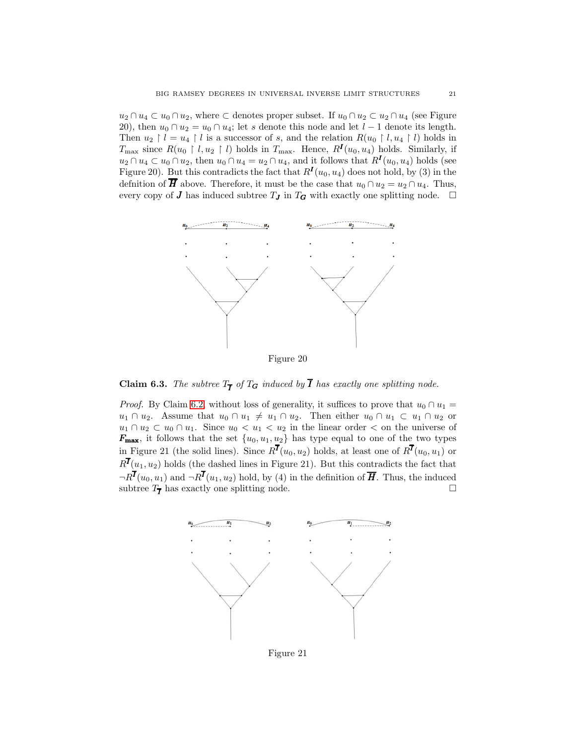$u_2 \cap u_4 \subset u_0 \cap u_2$ , where  $\subset$  denotes proper subset. If  $u_0 \cap u_2 \subset u_2 \cap u_4$  (see Figure 20), then  $u_0 \cap u_2 = u_0 \cap u_4$ ; let s denote this node and let  $l-1$  denote its length. Then  $u_2 \upharpoonright l = u_4 \upharpoonright l$  is a successor of s, and the relation  $R(u_0 \upharpoonright l, u_4 \upharpoonright l)$  holds in  $T_{\text{max}}$  since  $R(u_0 \upharpoonright l, u_2 \upharpoonright l)$  holds in  $T_{\text{max}}$ . Hence,  $R^I(u_0, u_4)$  holds. Similarly, if  $u_2 \cap u_4 \subset u_0 \cap u_2$ , then  $u_0 \cap u_4 = u_2 \cap u_4$ , and it follows that  $R^I(u_0, u_4)$  holds (see Figure 20). But this contradicts the fact that  $R^I(u_0, u_4)$  does not hold, by (3) in the definition of  $\overline{H}$  above. Therefore, it must be the case that  $u_0 \cap u_2 = u_2 \cap u_4$ . Thus, every copy of **J** has induced subtree  $T_J$  in  $T_G$  with exactly one splitting node.  $\Box$ 



<span id="page-20-0"></span>**Claim 6.3.** The subtree  $T_{\overline{I}}$  of  $T_G$  induced by **I** has exactly one splitting node.

*Proof.* By Claim [6.2,](#page-19-1) without loss of generality, it suffices to prove that  $u_0 \cap u_1 =$  $u_1 \cap u_2$ . Assume that  $u_0 \cap u_1 \neq u_1 \cap u_2$ . Then either  $u_0 \cap u_1 \subset u_1 \cap u_2$  or  $u_1 \cap u_2 \subset u_0 \cap u_1$ . Since  $u_0 < u_1 < u_2$  in the linear order  $\langle$  on the universe of  $F_{\text{max}}$ , it follows that the set  $\{u_0, u_1, u_2\}$  has type equal to one of the two types in Figure 21 (the solid lines). Since  $R^{\bar{I}}(u_0, u_2)$  holds, at least one of  $R^{\bar{I}}(u_0, u_1)$  or  $R^I(u_1, u_2)$  holds (the dashed lines in Figure 21). But this contradicts the fact that  $\neg R^{I}(u_0, u_1)$  and  $\neg R^{I}(u_1, u_2)$  hold, by (4) in the definition of  $\overline{H}$ . Thus, the induced subtree  $T_{\overline{I}}$  has exactly one splitting node.



Figure 21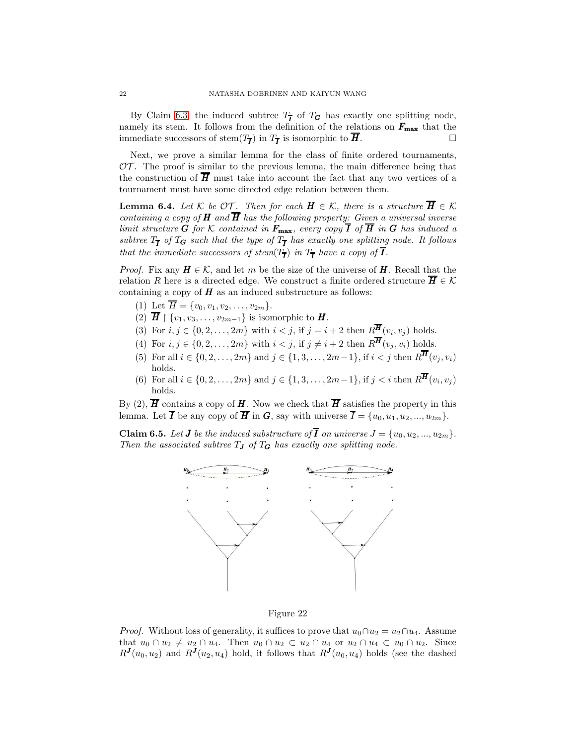By Claim [6.3,](#page-20-0) the induced subtree  $T_{\overline{I}}$  of  $T_G$  has exactly one splitting node, namely its stem. It follows from the definition of the relations on  $F_{\text{max}}$  that the immediate successors of stem $(T_{\overline{I}})$  in  $T_{\overline{I}}$  is isomorphic to  $H$ .

Next, we prove a similar lemma for the class of finite ordered tournaments,  $\mathcal{OT}$ . The proof is similar to the previous lemma, the main difference being that the construction of  $\overline{H}$  must take into account the fact that any two vertices of a tournament must have some directed edge relation between them.

<span id="page-21-0"></span>**Lemma 6.4.** *Let*  $K$  *be*  $OT$ *. Then for each*  $H \in K$ *, there is a structure*  $\overline{H} \in K$ *containing a copy of*  $H$  *and*  $\overline{H}$  *has the following property: Given a universal inverse limit structure* **G** *for* K *contained in*  $F_{\text{max}}$ *, every copy*  $\overline{I}$  *of*  $\overline{H}$  *in* **G** *has induced a*  $subtree T_{\overline{I}}$  of  $T_G$  such that the type of  $T_{\overline{I}}$  has exactly one splitting node. It follows *that the immediate successors of stem* $(T_{\overline{I}})$  *in*  $T_{\overline{I}}$  *have a copy of*  $I$ *.* 

*Proof.* Fix any  $H \in \mathcal{K}$ , and let m be the size of the universe of H. Recall that the relation R here is a directed edge. We construct a finite ordered structure  $H \in \mathcal{K}$ containing a copy of  $H$  as an induced substructure as follows:

- (1) Let  $\overline{H} = \{v_0, v_1, v_2, \ldots, v_{2m}\}.$
- (2)  $\overline{H} \restriction \{v_1, v_3, \ldots, v_{2m-1}\}$  is isomorphic to  $H$ .
- (3) For  $i, j \in \{0, 2, ..., 2m\}$  with  $i < j$ , if  $j = i + 2$  then  $R^H(v_i, v_j)$  holds.
- (4) For  $i, j \in \{0, 2, \ldots, 2m\}$  with  $i < j$ , if  $j \neq i+2$  then  $R^{\overline{H}}(v_i, v_i)$  holds.
- (5) For all  $i \in \{0, 2, ..., 2m\}$  and  $j \in \{1, 3, ..., 2m-1\}$ , if  $i < j$  then  $R^{\overline{H}}(v_i, v_i)$ holds.
- (6) For all  $i \in \{0, 2, ..., 2m\}$  and  $j \in \{1, 3, ..., 2m-1\}$ , if  $j < i$  then  $R^H(v_i, v_j)$ holds.

By (2),  $\overline{H}$  contains a copy of  $H$ . Now we check that  $\overline{H}$  satisfies the property in this lemma. Let  $\overline{I}$  be any copy of  $\overline{H}$  in  $G$ , say with universe  $\overline{I} = \{u_0, u_1, u_2, ..., u_{2m}\}.$ 

<span id="page-21-1"></span>**Claim 6.5.** Let **J** be the induced substructure of **I** on universe  $J = \{u_0, u_2, ..., u_{2m}\}.$ *Then the associated subtree*  $T_J$  *of*  $T_G$  *has exactly one splitting node.* 



Figure 22

*Proof.* Without loss of generality, it suffices to prove that  $u_0 \cap u_2 = u_2 \cap u_4$ . Assume that  $u_0 \cap u_2 \neq u_2 \cap u_4$ . Then  $u_0 \cap u_2 \subset u_2 \cap u_4$  or  $u_2 \cap u_4 \subset u_0 \cap u_2$ . Since  $R^{J}(u_0, u_2)$  and  $R^{J}(u_2, u_4)$  hold, it follows that  $R^{J}(u_0, u_4)$  holds (see the dashed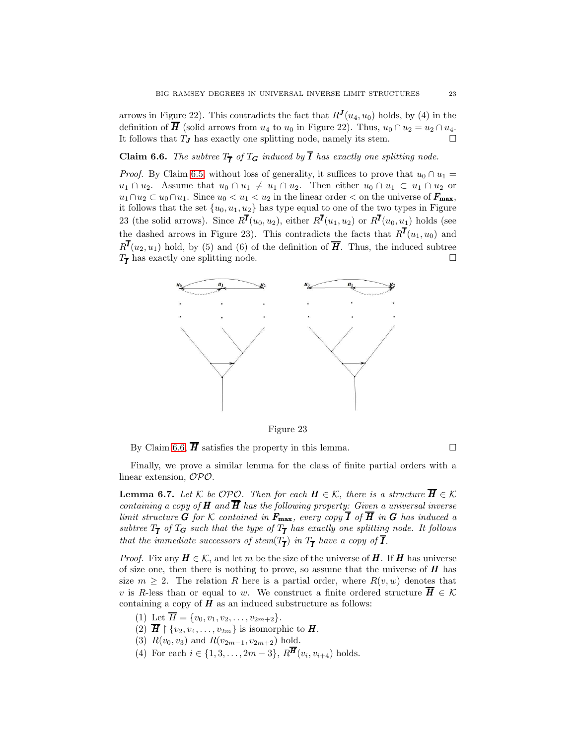arrows in Figure 22). This contradicts the fact that  $R^{J}(u_4, u_0)$  holds, by (4) in the definition of  $\overline{H}$  (solid arrows from  $u_4$  to  $u_0$  in Figure 22). Thus,  $u_0 \cap u_2 = u_2 \cap u_4$ . It follows that  $T_J$  has exactly one splitting node, namely its stem.  $\Box$ 

<span id="page-22-1"></span>**Claim 6.6.** The subtree  $T_{\overline{I}}$  of  $T_G$  induced by **I** has exactly one splitting node.

*Proof.* By Claim [6.5,](#page-21-1) without loss of generality, it suffices to prove that  $u_0 \cap u_1 =$  $u_1 \cap u_2$ . Assume that  $u_0 \cap u_1 \neq u_1 \cap u_2$ . Then either  $u_0 \cap u_1 \subset u_1 \cap u_2$  or  $u_1 \cap u_2 \subset u_0 \cap u_1$ . Since  $u_0 < u_1 < u_2$  in the linear order  $\lt$  on the universe of  $\mathbf{F}_{\text{max}}$ , it follows that the set  $\{u_0, u_1, u_2\}$  has type equal to one of the two types in Figure 23 (the solid arrows). Since  $R^I(u_0, u_2)$ , either  $R^I(u_1, u_2)$  or  $R^I(u_0, u_1)$  holds (see the dashed arrows in Figure 23). This contradicts the facts that  $R^{I}(u_1, u_0)$  and  $R^I(u_2, u_1)$  hold, by (5) and (6) of the definition of  $\overline{H}$ . Thus, the induced subtree  $T_{\overline{I}}$  has exactly one splitting node.



Figure 23

By Claim [6.6,](#page-22-1)  $\overline{H}$  satisfies the property in this lemma.

Finally, we prove a similar lemma for the class of finite partial orders with a linear extension, OPO.

<span id="page-22-0"></span>**Lemma 6.7.** *Let*  $K$  *be OPO. Then for each*  $H \in K$ *, there is a structure*  $\overline{H} \in K$ *containing a copy of*  $H$  *and*  $\overline{H}$  *has the following property: Given a universal inverse limit structure* **G** for K contained in  $F_{\text{max}}$ , every copy  $\overline{I}$  of  $\overline{H}$  in **G** has induced a  $subtree T_{\overline{I}}$  of  $T_G$  such that the type of  $T_{\overline{I}}$  has exactly one splitting node. It follows *that the immediate successors of stem* $(T_{\overline{I}})$  *in*  $T_{\overline{I}}$  *have a copy of*  $I$ *.* 

*Proof.* Fix any  $H \in \mathcal{K}$ , and let m be the size of the universe of H. If H has universe of size one, then there is nothing to prove, so assume that the universe of  $H$  has size  $m \geq 2$ . The relation R here is a partial order, where  $R(v, w)$  denotes that v is R-less than or equal to w. We construct a finite ordered structure  $\overline{H} \in \mathcal{K}$ containing a copy of  $H$  as an induced substructure as follows:

- (1) Let  $\overline{H} = \{v_0, v_1, v_2, \ldots, v_{2m+2}\}.$
- (2)  $\overline{H} \restriction \{v_2, v_4, \ldots, v_{2m}\}$  is isomorphic to  $H$ .
- (3)  $R(v_0, v_3)$  and  $R(v_{2m-1}, v_{2m+2})$  hold.
- (4) For each  $i \in \{1, 3, ..., 2m-3\}, R^{\mathbf{H}}(v_i, v_{i+4})$  holds.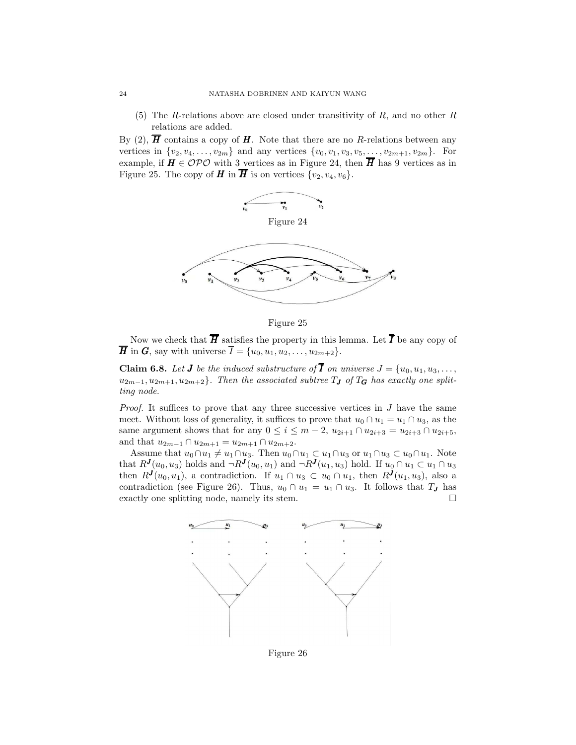(5) The R-relations above are closed under transitivity of  $R$ , and no other  $R$ relations are added.

By (2),  $\overline{H}$  contains a copy of  $H$ . Note that there are no R-relations between any vertices in  $\{v_2, v_4, \ldots, v_{2m}\}\$  and any vertices  $\{v_0, v_1, v_3, v_5, \ldots, v_{2m+1}, v_{2m}\}\$ . For example, if  $H \in \mathcal{OPO}$  with 3 vertices as in Figure 24, then  $\overline{H}$  has 9 vertices as in Figure 25. The copy of **H** in  $\overline{H}$  is on vertices  $\{v_2, v_4, v_6\}$ .



Figure 25

Now we check that  $\overline{H}$  satisfies the property in this lemma. Let  $\overline{I}$  be any copy of  $\overline{H}$  in  $G$ , say with universe  $\overline{I} = \{u_0, u_1, u_2, \ldots, u_{2m+2}\}.$ 

<span id="page-23-0"></span>**Claim 6.8.** Let **J** be the induced substructure of  $\overline{I}$  on universe  $J = \{u_0, u_1, u_3, \ldots, u_n\}$  $u_{2m-1}, u_{2m+1}, u_{2m+2}$ *. Then the associated subtree*  $T_J$  *of*  $T_G$  *has exactly one splitting node.*

*Proof.* It suffices to prove that any three successive vertices in J have the same meet. Without loss of generality, it suffices to prove that  $u_0 \cap u_1 = u_1 \cap u_3$ , as the same argument shows that for any  $0 \le i \le m-2$ ,  $u_{2i+1} \cap u_{2i+3} = u_{2i+3} \cap u_{2i+5}$ , and that  $u_{2m-1} \cap u_{2m+1} = u_{2m+1} \cap u_{2m+2}$ .

Assume that  $u_0 \cap u_1 \neq u_1 \cap u_3$ . Then  $u_0 \cap u_1 \subset u_1 \cap u_3$  or  $u_1 \cap u_3 \subset u_0 \cap u_1$ . Note that  $R^{J}(u_0, u_3)$  holds and  $\neg R^{J}(u_0, u_1)$  and  $\neg R^{J}(u_1, u_3)$  hold. If  $u_0 \cap u_1 \subset u_1 \cap u_3$ then  $R^{J}(u_0, u_1)$ , a contradiction. If  $u_1 \cap u_3 \subset u_0 \cap u_1$ , then  $R^{J}(u_1, u_3)$ , also a contradiction (see Figure 26). Thus,  $u_0 \cap u_1 = u_1 \cap u_3$ . It follows that  $T_J$  has exactly one splitting node, namely its stem.



Figure 26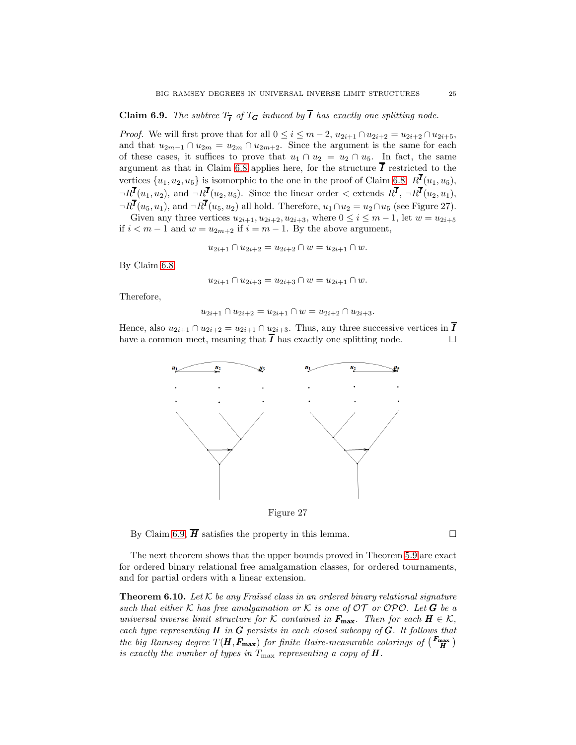# <span id="page-24-1"></span>**Claim 6.9.** *The subtree*  $T_{\overline{I}}$  *of*  $T_G$  *induced by I has exactly one splitting node.*

*Proof.* We will first prove that for all  $0 \leq i \leq m-2$ ,  $u_{2i+1} \cap u_{2i+2} = u_{2i+2} \cap u_{2i+5}$ , and that  $u_{2m-1} \cap u_{2m} = u_{2m} \cap u_{2m+2}$ . Since the argument is the same for each of these cases, it suffices to prove that  $u_1 \cap u_2 = u_2 \cap u_5$ . In fact, the same argument as that in Claim [6.8](#page-23-0) applies here, for the structure  $\overline{I}$  restricted to the vertices  $\{u_1, u_2, u_5\}$  is isomorphic to the one in the proof of Claim [6.8:](#page-23-0)  $R^{\bar{I}}(u_1, u_5)$ ,  $\neg R^{I}(u_1, u_2)$ , and  $\neg R^{I}(u_2, u_5)$ . Since the linear order  $\lt$  extends  $R^{I}$ ,  $\neg R^{I}(u_2, u_1)$ ,  $\neg R^{I}(u_5, u_1)$ , and  $\neg R^{I}(u_5, u_2)$  all hold. Therefore,  $u_1 \cap u_2 = u_2 \cap u_5$  (see Figure 27). Given any three vertices  $u_{2i+1}, u_{2i+2}, u_{2i+3}$ , where  $0 \le i \le m-1$ , let  $w = u_{2i+5}$ 

if  $i < m-1$  and  $w = u_{2m+2}$  if  $i = m-1$ . By the above argument,

$$
u_{2i+1} \cap u_{2i+2} = u_{2i+2} \cap w = u_{2i+1} \cap w.
$$

By Claim [6.8,](#page-23-0)

$$
u_{2i+1} \cap u_{2i+3} = u_{2i+3} \cap w = u_{2i+1} \cap w.
$$

Therefore,

$$
u_{2i+1} \cap u_{2i+2} = u_{2i+1} \cap w = u_{2i+2} \cap u_{2i+3}.
$$

Hence, also  $u_{2i+1} \cap u_{2i+2} = u_{2i+1} \cap u_{2i+3}$ . Thus, any three successive vertices in  $\overline{I}$ have a common meet, meaning that  $\overline{I}$  has exactly one splitting node.



Figure 27

By Claim [6.9,](#page-24-1)  $\overline{H}$  satisfies the property in this lemma.

The next theorem shows that the upper bounds proved in Theorem [5.9](#page-18-1) are exact for ordered binary relational free amalgamation classes, for ordered tournaments, and for partial orders with a linear extension.

<span id="page-24-0"></span>**Theorem 6.10.** Let  $K$  be any Fraüssé class in an ordered binary relational signature *such that either* K has free amalgamation or K is one of  $OT$  or  $OPO$ . Let G be a *universal inverse limit structure for*  $K$  *contained in*  $F_{\text{max}}$ *. Then for each*  $H \in K$ *, each type representing* H *in* G *persists in each closed subcopy of* G*. It follows that the big Ramsey degree*  $T(H, F_{\text{max}})$  *for finite Baire-measurable colorings of*  $\binom{F_{\text{max}}}{H}$ *is exactly the number of types in*  $T_{\text{max}}$  *representing a copy of*  $\boldsymbol{H}$ *.*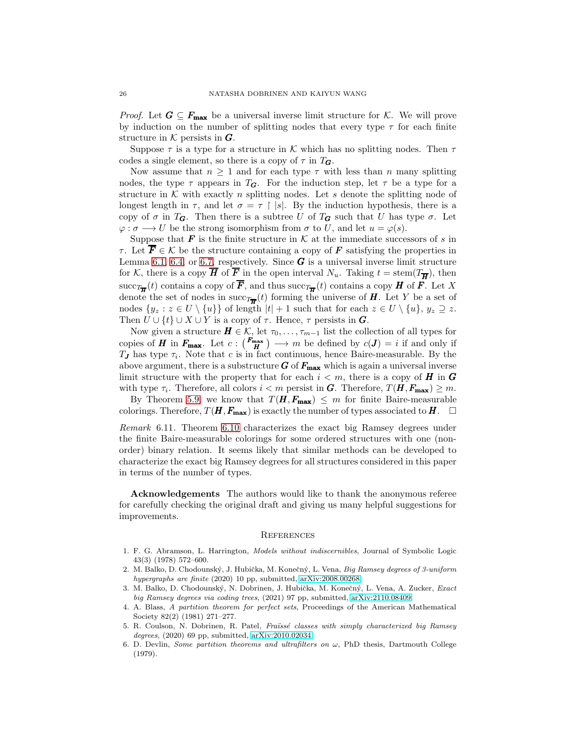*Proof.* Let  $G \subseteq F_{\text{max}}$  be a universal inverse limit structure for K. We will prove by induction on the number of splitting nodes that every type  $\tau$  for each finite structure in  $K$  persists in  $\boldsymbol{G}$ .

Suppose  $\tau$  is a type for a structure in K which has no splitting nodes. Then  $\tau$ codes a single element, so there is a copy of  $\tau$  in  $T_{\mathbf{G}}$ .

Now assume that  $n \geq 1$  and for each type  $\tau$  with less than n many splitting nodes, the type  $\tau$  appears in  $T_G$ . For the induction step, let  $\tau$  be a type for a structure in  $K$  with exactly n splitting nodes. Let s denote the splitting node of longest length in  $\tau$ , and let  $\sigma = \tau \restriction |s|$ . By the induction hypothesis, there is a copy of  $\sigma$  in  $T_G$ . Then there is a subtree U of  $T_G$  such that U has type  $\sigma$ . Let  $\varphi : \sigma \longrightarrow U$  be the strong isomorphism from  $\sigma$  to U, and let  $u = \varphi(s)$ .

Suppose that  $\bf{F}$  is the finite structure in  $K$  at the immediate successors of s in  $\tau$ . Let  $\overline{\mathbf{F}} \in \mathcal{K}$  be the structure containing a copy of  $\mathbf{F}$  satisfying the properties in Lemma [6.1,](#page-19-0) [6.4,](#page-21-0) or [6.7,](#page-22-0) respectively. Since  $\boldsymbol{G}$  is a universal inverse limit structure for K, there is a copy  $\overline{H}$  of  $\overline{F}$  in the open interval  $N_u$ . Taking  $t = \operatorname{stem}(T_{\overline{H}})$ , then succ $T_{\overline{H}}(t)$  contains a copy of  $F$ , and thus succ $T_{\overline{H}}(t)$  contains a copy  $H$  of  $F$ . Let X denote the set of nodes in succ $T_{\overline{H}}(t)$  forming the universe of H. Let Y be a set of nodes  $\{y_z : z \in U \setminus \{u\}\}\$  of length  $|t| + 1$  such that for each  $z \in U \setminus \{u\}, y_z \supseteq z$ . Then  $U \cup \{t\} \cup X \cup Y$  is a copy of  $\tau$ . Hence,  $\tau$  persists in  $G$ .

Now given a structure  $H \in \mathcal{K}$ , let  $\tau_0, \ldots, \tau_{m-1}$  list the collection of all types for copies of **H** in  $F_{\text{max}}$ . Let  $c: {F_{\text{max}} \choose H} \longrightarrow m$  be defined by  $c(J) = i$  if and only if  $T_J$  has type  $\tau_i$ . Note that c is in fact continuous, hence Baire-measurable. By the above argument, there is a substructure  $G$  of  $F_{\text{max}}$  which is again a universal inverse limit structure with the property that for each  $i < m$ , there is a copy of **H** in **G** with type  $\tau_i$ . Therefore, all colors  $i < m$  persist in G. Therefore,  $T(H, F_{\text{max}}) \geq m$ .

By Theorem [5.9,](#page-18-1) we know that  $T(H, F_{\text{max}}) \leq m$  for finite Baire-measurable colorings. Therefore,  $T(H, F_{\text{max}})$  is exactly the number of types associated to  $H$ .

*Remark* 6.11*.* Theorem [6.10](#page-24-0) characterizes the exact big Ramsey degrees under the finite Baire-measurable colorings for some ordered structures with one (nonorder) binary relation. It seems likely that similar methods can be developed to characterize the exact big Ramsey degrees for all structures considered in this paper in terms of the number of types.

Acknowledgements The authors would like to thank the anonymous referee for carefully checking the original draft and giving us many helpful suggestions for improvements.

#### **REFERENCES**

- <span id="page-25-5"></span>1. F. G. Abramson, L. Harrington, *Models without indiscernibles*, Journal of Symbolic Logic 43(3) (1978) 572–600.
- <span id="page-25-1"></span>2. M. Balko, D. Chodounský, J. Hubička, M. Konečný, L. Vena, *Big Ramsey degrees of 3-uniform hypergraphs are finite* (2020) 10 pp, submitted, [arXiv:2008.00268.](http://arxiv.org/abs/2008.00268)
- <span id="page-25-2"></span>3. M. Balko, D. Chodounsk´y, N. Dobrinen, J. Hubiˇcka, M. Koneˇcn´y, L. Vena, A. Zucker, *Exact big Ramsey degrees via coding trees*, (2021) 97 pp, submitted, [arXiv:2110.08409.](http://arxiv.org/abs/2110.08409)
- <span id="page-25-4"></span>4. A. Blass, *A partition theorem for perfect sets*, Proceedings of the American Mathematical Society 82(2) (1981) 271–277.
- <span id="page-25-3"></span>5. R. Coulson, N. Dobrinen, R. Patel, *Fra¨ıss´e classes with simply characterized big Ramsey degrees*, (2020) 69 pp, submitted, [arXiv:2010.02034.](http://arxiv.org/abs/2010.02034)
- <span id="page-25-0"></span>6. D. Devlin, *Some partition theorems and ultrafilters on*  $\omega$ , PhD thesis, Dartmouth College (1979).